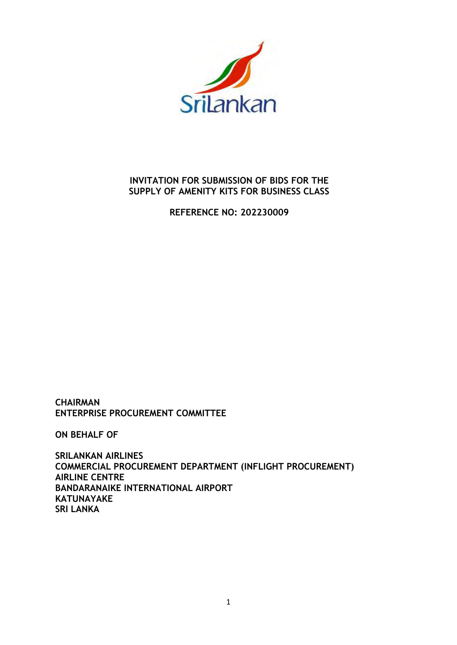

# **INVITATION FOR SUBMISSION OF BIDS FOR THE SUPPLY OF AMENITY KITS FOR BUSINESS CLASS**

**REFERENCE NO: 202230009** 

**CHAIRMAN ENTERPRISE PROCUREMENT COMMITTEE** 

**ON BEHALF OF** 

**SRILANKAN AIRLINES COMMERCIAL PROCUREMENT DEPARTMENT (INFLIGHT PROCUREMENT) AIRLINE CENTRE BANDARANAIKE INTERNATIONAL AIRPORT KATUNAYAKE SRI LANKA**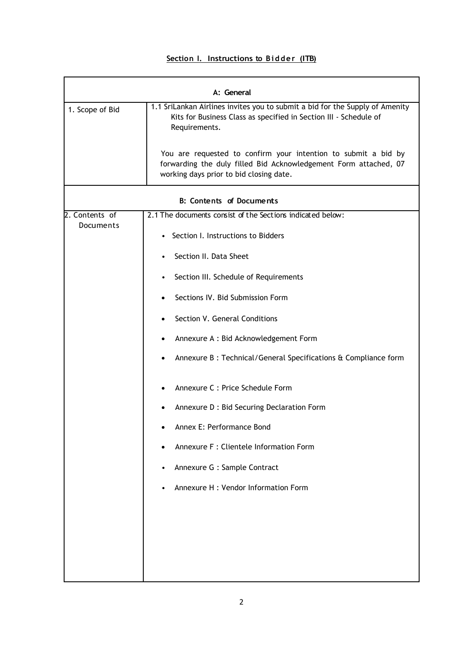## **Section I. Instructions to Bidder (ITB)**

|                                    | A: General                                                                                                                                                                    |  |  |  |
|------------------------------------|-------------------------------------------------------------------------------------------------------------------------------------------------------------------------------|--|--|--|
| 1. Scope of Bid                    | 1.1 SriLankan Airlines invites you to submit a bid for the Supply of Amenity<br>Kits for Business Class as specified in Section III - Schedule of<br>Requirements.            |  |  |  |
|                                    | You are requested to confirm your intention to submit a bid by<br>forwarding the duly filled Bid Acknowledgement Form attached, 07<br>working days prior to bid closing date. |  |  |  |
|                                    | B: Contents of Documents                                                                                                                                                      |  |  |  |
| 2. Contents of<br><b>Documents</b> | 2.1 The documents consist of the Sections indicated below:                                                                                                                    |  |  |  |
|                                    | • Section I. Instructions to Bidders                                                                                                                                          |  |  |  |
|                                    | Section II. Data Sheet                                                                                                                                                        |  |  |  |
|                                    | Section III. Schedule of Requirements                                                                                                                                         |  |  |  |
|                                    | Sections IV. Bid Submission Form                                                                                                                                              |  |  |  |
|                                    | Section V. General Conditions                                                                                                                                                 |  |  |  |
|                                    | Annexure A : Bid Acknowledgement Form<br>$\bullet$                                                                                                                            |  |  |  |
|                                    | Annexure B : Technical/General Specifications & Compliance form<br>٠                                                                                                          |  |  |  |
|                                    | Annexure C : Price Schedule Form                                                                                                                                              |  |  |  |
|                                    | Annexure D : Bid Securing Declaration Form                                                                                                                                    |  |  |  |
|                                    | Annex E: Performance Bond                                                                                                                                                     |  |  |  |
|                                    | Annexure F : Clientele Information Form                                                                                                                                       |  |  |  |
|                                    | Annexure G : Sample Contract                                                                                                                                                  |  |  |  |
|                                    | Annexure H : Vendor Information Form                                                                                                                                          |  |  |  |
|                                    |                                                                                                                                                                               |  |  |  |
|                                    |                                                                                                                                                                               |  |  |  |
|                                    |                                                                                                                                                                               |  |  |  |
|                                    |                                                                                                                                                                               |  |  |  |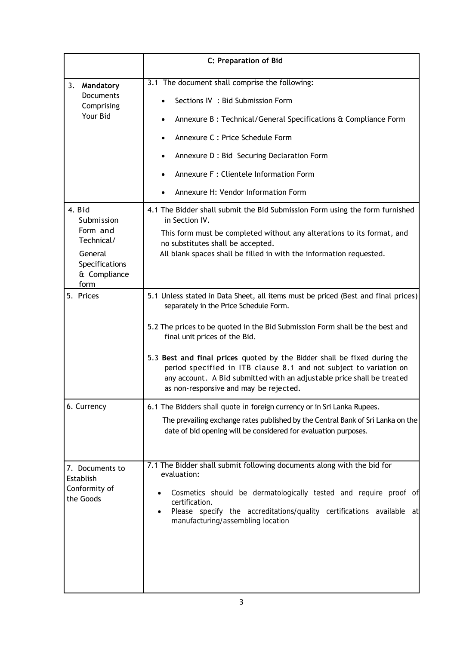|                                                                                                   | <b>C: Preparation of Bid</b>                                                                                                                                                                                                                                                                                                                                                                                                                                                                                                                                            |
|---------------------------------------------------------------------------------------------------|-------------------------------------------------------------------------------------------------------------------------------------------------------------------------------------------------------------------------------------------------------------------------------------------------------------------------------------------------------------------------------------------------------------------------------------------------------------------------------------------------------------------------------------------------------------------------|
| 3.<br>Mandatory<br><b>Documents</b><br>Comprising<br>Your Bid<br>4. Bid<br>Submission<br>Form and | 3.1 The document shall comprise the following:<br>Sections IV : Bid Submission Form<br>Annexure B : Technical/General Specifications & Compliance Form<br>$\bullet$<br>Annexure C : Price Schedule Form<br>$\bullet$<br>Annexure D : Bid Securing Declaration Form<br>$\bullet$<br>Annexure F : Clientele Information Form<br>$\bullet$<br>Annexure H: Vendor Information Form<br>$\bullet$<br>4.1 The Bidder shall submit the Bid Submission Form using the form furnished<br>in Section IV.<br>This form must be completed without any alterations to its format, and |
| Technical/<br>General<br>Specifications<br>& Compliance<br>form                                   | no substitutes shall be accepted.<br>All blank spaces shall be filled in with the information requested.                                                                                                                                                                                                                                                                                                                                                                                                                                                                |
| 5. Prices                                                                                         | 5.1 Unless stated in Data Sheet, all items must be priced (Best and final prices)<br>separately in the Price Schedule Form.<br>5.2 The prices to be quoted in the Bid Submission Form shall be the best and<br>final unit prices of the Bid.<br>5.3 Best and final prices quoted by the Bidder shall be fixed during the<br>period specified in ITB clause 8.1 and not subject to variation on<br>any account. A Bid submitted with an adjustable price shall be treated<br>as non-responsive and may be rejected.                                                      |
| 6. Currency                                                                                       | 6.1 The Bidders shall quote in foreign currency or in Sri Lanka Rupees.<br>The prevailing exchange rates published by the Central Bank of Sri Lanka on the<br>date of bid opening will be considered for evaluation purposes.                                                                                                                                                                                                                                                                                                                                           |
| 7. Documents to<br>Establish<br>Conformity of<br>the Goods                                        | 7.1 The Bidder shall submit following documents along with the bid for<br>evaluation:<br>Cosmetics should be dermatologically tested and require proof of<br>certification.<br>Please specify the accreditations/quality certifications available at<br>manufacturing/assembling location                                                                                                                                                                                                                                                                               |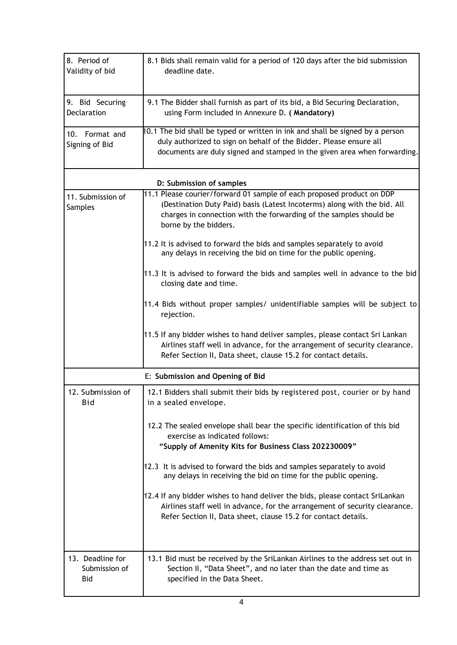| 8. Period of<br>Validity of bid          | 8.1 Bids shall remain valid for a period of 120 days after the bid submission<br>deadline date.                                                                                                                                                  |
|------------------------------------------|--------------------------------------------------------------------------------------------------------------------------------------------------------------------------------------------------------------------------------------------------|
| 9. Bid Securing<br>Declaration           | 9.1 The Bidder shall furnish as part of its bid, a Bid Securing Declaration,<br>using Form included in Annexure D. (Mandatory)                                                                                                                   |
| 10. Format and<br>Signing of Bid         | 10.1 The bid shall be typed or written in ink and shall be signed by a person<br>duly authorized to sign on behalf of the Bidder. Please ensure all<br>documents are duly signed and stamped in the given area when forwarding.                  |
|                                          | D: Submission of samples                                                                                                                                                                                                                         |
| 11. Submission of<br>Samples             | 11.1 Please courier/forward 01 sample of each proposed product on DDP<br>(Destination Duty Paid) basis (Latest Incoterms) along with the bid. All<br>charges in connection with the forwarding of the samples should be<br>borne by the bidders. |
|                                          | 11.2 It is advised to forward the bids and samples separately to avoid<br>any delays in receiving the bid on time for the public opening.                                                                                                        |
|                                          | 11.3 It is advised to forward the bids and samples well in advance to the bid<br>closing date and time.                                                                                                                                          |
|                                          | 11.4 Bids without proper samples/ unidentifiable samples will be subject to<br>rejection.                                                                                                                                                        |
|                                          | 11.5 If any bidder wishes to hand deliver samples, please contact Sri Lankan<br>Airlines staff well in advance, for the arrangement of security clearance.<br>Refer Section II, Data sheet, clause 15.2 for contact details.                     |
|                                          | E: Submission and Opening of Bid                                                                                                                                                                                                                 |
| 12. Submission of<br>Bid                 | 12.1 Bidders shall submit their bids by registered post, courier or by hand<br>in a sealed envelope.                                                                                                                                             |
|                                          | 12.2 The sealed envelope shall bear the specific identification of this bid<br>exercise as indicated follows:<br>"Supply of Amenity Kits for Business Class 202230009"                                                                           |
|                                          | 12.3 It is advised to forward the bids and samples separately to avoid<br>any delays in receiving the bid on time for the public opening.                                                                                                        |
|                                          | 12.4 If any bidder wishes to hand deliver the bids, please contact SriLankan<br>Airlines staff well in advance, for the arrangement of security clearance.<br>Refer Section II, Data sheet, clause 15.2 for contact details.                     |
| 13. Deadline for<br>Submission of<br>Bid | 13.1 Bid must be received by the SriLankan Airlines to the address set out in<br>Section II, "Data Sheet", and no later than the date and time as<br>specified in the Data Sheet.                                                                |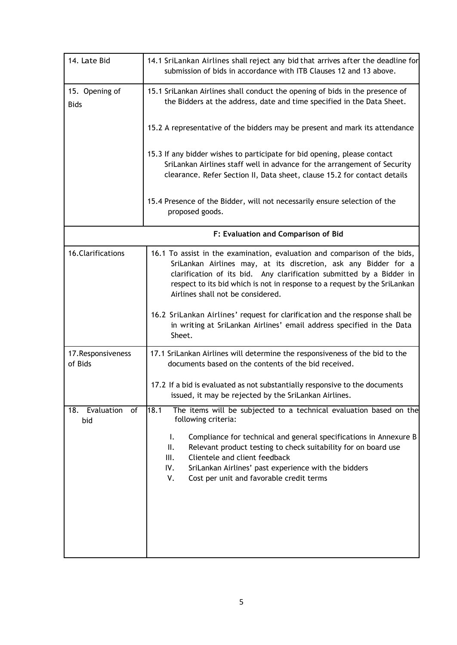| 14. Late Bid                   | 14.1 SriLankan Airlines shall reject any bid that arrives after the deadline for<br>submission of bids in accordance with ITB Clauses 12 and 13 above.                                                                                                                                                                                 |
|--------------------------------|----------------------------------------------------------------------------------------------------------------------------------------------------------------------------------------------------------------------------------------------------------------------------------------------------------------------------------------|
| 15. Opening of<br><b>Bids</b>  | 15.1 SriLankan Airlines shall conduct the opening of bids in the presence of<br>the Bidders at the address, date and time specified in the Data Sheet.                                                                                                                                                                                 |
|                                | 15.2 A representative of the bidders may be present and mark its attendance                                                                                                                                                                                                                                                            |
|                                | 15.3 If any bidder wishes to participate for bid opening, please contact<br>SriLankan Airlines staff well in advance for the arrangement of Security<br>clearance. Refer Section II, Data sheet, clause 15.2 for contact details                                                                                                       |
|                                | 15.4 Presence of the Bidder, will not necessarily ensure selection of the<br>proposed goods.                                                                                                                                                                                                                                           |
|                                | F: Evaluation and Comparison of Bid                                                                                                                                                                                                                                                                                                    |
| 16.Clarifications              | 16.1 To assist in the examination, evaluation and comparison of the bids,<br>SriLankan Airlines may, at its discretion, ask any Bidder for a<br>clarification of its bid. Any clarification submitted by a Bidder in<br>respect to its bid which is not in response to a request by the SriLankan<br>Airlines shall not be considered. |
|                                | 16.2 SriLankan Airlines' request for clarification and the response shall be<br>in writing at SriLankan Airlines' email address specified in the Data<br>Sheet.                                                                                                                                                                        |
| 17. Responsiveness<br>of Bids  | 17.1 SriLankan Airlines will determine the responsiveness of the bid to the<br>documents based on the contents of the bid received.                                                                                                                                                                                                    |
|                                | 17.2 If a bid is evaluated as not substantially responsive to the documents<br>issued, it may be rejected by the SriLankan Airlines.                                                                                                                                                                                                   |
| Evaluation<br>18.<br>of<br>bid | 18.1<br>The items will be subjected to a technical evaluation based on the<br>following criteria:                                                                                                                                                                                                                                      |
|                                | Ι.<br>Compliance for technical and general specifications in Annexure B<br>ΙΙ.<br>Relevant product testing to check suitability for on board use<br>Clientele and client feedback<br>Ш.<br>IV.<br>SriLankan Airlines' past experience with the bidders<br>٧.<br>Cost per unit and favorable credit terms                               |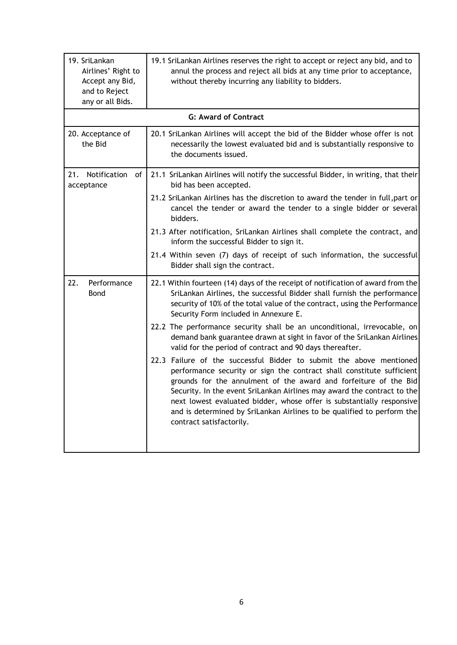| 19. SriLankan<br>Airlines' Right to<br>Accept any Bid,<br>and to Reject<br>any or all Bids. | 19.1 SriLankan Airlines reserves the right to accept or reject any bid, and to<br>annul the process and reject all bids at any time prior to acceptance,<br>without thereby incurring any liability to bidders.                                                                                                                                                                                                                                                            |
|---------------------------------------------------------------------------------------------|----------------------------------------------------------------------------------------------------------------------------------------------------------------------------------------------------------------------------------------------------------------------------------------------------------------------------------------------------------------------------------------------------------------------------------------------------------------------------|
|                                                                                             | <b>G: Award of Contract</b>                                                                                                                                                                                                                                                                                                                                                                                                                                                |
| 20. Acceptance of<br>the Bid                                                                | 20.1 SriLankan Airlines will accept the bid of the Bidder whose offer is not<br>necessarily the lowest evaluated bid and is substantially responsive to<br>the documents issued.                                                                                                                                                                                                                                                                                           |
| Notification<br>21.<br>of<br>acceptance                                                     | 21.1 SriLankan Airlines will notify the successful Bidder, in writing, that their<br>bid has been accepted.                                                                                                                                                                                                                                                                                                                                                                |
|                                                                                             | 21.2 SriLankan Airlines has the discretion to award the tender in full, part or<br>cancel the tender or award the tender to a single bidder or several<br>bidders.                                                                                                                                                                                                                                                                                                         |
|                                                                                             | 21.3 After notification, SriLankan Airlines shall complete the contract, and<br>inform the successful Bidder to sign it.                                                                                                                                                                                                                                                                                                                                                   |
|                                                                                             | 21.4 Within seven (7) days of receipt of such information, the successful<br>Bidder shall sign the contract.                                                                                                                                                                                                                                                                                                                                                               |
| Performance<br>22.<br>Bond                                                                  | 22.1 Within fourteen (14) days of the receipt of notification of award from the<br>SriLankan Airlines, the successful Bidder shall furnish the performance<br>security of 10% of the total value of the contract, using the Performance<br>Security Form included in Annexure E.                                                                                                                                                                                           |
|                                                                                             | 22.2 The performance security shall be an unconditional, irrevocable, on<br>demand bank guarantee drawn at sight in favor of the SriLankan Airlines<br>valid for the period of contract and 90 days thereafter.                                                                                                                                                                                                                                                            |
|                                                                                             | 22.3 Failure of the successful Bidder to submit the above mentioned<br>performance security or sign the contract shall constitute sufficient<br>grounds for the annulment of the award and forfeiture of the Bid<br>Security. In the event SriLankan Airlines may award the contract to the<br>next lowest evaluated bidder, whose offer is substantially responsive<br>and is determined by SriLankan Airlines to be qualified to perform the<br>contract satisfactorily. |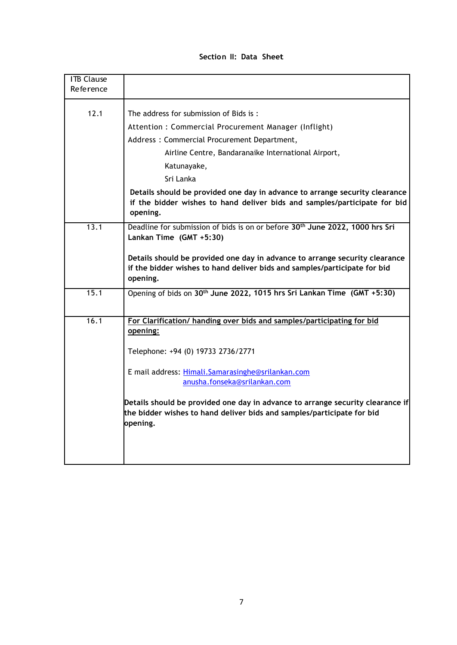| Section II: Data Sheet |  |  |  |
|------------------------|--|--|--|
|------------------------|--|--|--|

| <b>ITB Clause</b><br>Reference |                                                                                                                                                                                                                                                                                                                                                                                       |
|--------------------------------|---------------------------------------------------------------------------------------------------------------------------------------------------------------------------------------------------------------------------------------------------------------------------------------------------------------------------------------------------------------------------------------|
| 12.1                           | The address for submission of Bids is:                                                                                                                                                                                                                                                                                                                                                |
|                                | Attention: Commercial Procurement Manager (Inflight)                                                                                                                                                                                                                                                                                                                                  |
|                                | Address: Commercial Procurement Department,                                                                                                                                                                                                                                                                                                                                           |
|                                | Airline Centre, Bandaranaike International Airport,                                                                                                                                                                                                                                                                                                                                   |
|                                | Katunayake,                                                                                                                                                                                                                                                                                                                                                                           |
|                                | Sri Lanka                                                                                                                                                                                                                                                                                                                                                                             |
|                                | Details should be provided one day in advance to arrange security clearance<br>if the bidder wishes to hand deliver bids and samples/participate for bid<br>opening.                                                                                                                                                                                                                  |
| 13.1                           | Deadline for submission of bids is on or before 30 <sup>th</sup> June 2022, 1000 hrs Sri<br>Lankan Time (GMT +5:30)<br>Details should be provided one day in advance to arrange security clearance<br>if the bidder wishes to hand deliver bids and samples/participate for bid<br>opening.                                                                                           |
| 15.1                           | Opening of bids on 30 <sup>th</sup> June 2022, 1015 hrs Sri Lankan Time (GMT +5:30)                                                                                                                                                                                                                                                                                                   |
| 16.1                           | For Clarification/ handing over bids and samples/participating for bid<br>opening:<br>Telephone: +94 (0) 19733 2736/2771<br>E mail address: Himali.Samarasinghe@srilankan.com<br>anusha.fonseka@srilankan.com<br>Details should be provided one day in advance to arrange security clearance if<br>the bidder wishes to hand deliver bids and samples/participate for bid<br>opening. |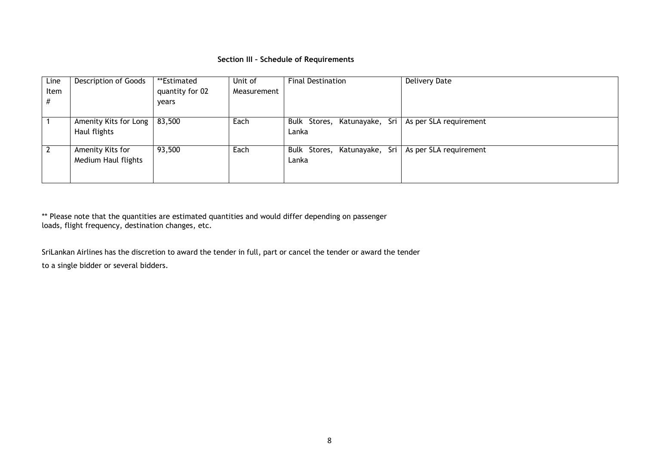## **Section III – Schedule of Requirements**

| Line<br>Item<br># | Description of Goods                    | **Estimated<br>quantity for 02<br>years | Unit of<br>Measurement | <b>Final Destination</b>                                       | <b>Delivery Date</b>                     |
|-------------------|-----------------------------------------|-----------------------------------------|------------------------|----------------------------------------------------------------|------------------------------------------|
|                   | Amenity Kits for Long<br>Haul flights   | 83,500                                  | Each                   | Bulk Stores, Katunayake, Sri   As per SLA requirement<br>Lanka |                                          |
|                   | Amenity Kits for<br>Medium Haul flights | 93,500                                  | Each                   | Bulk Stores,<br>Lanka                                          | Katunayake, Sri   As per SLA requirement |

\*\* Please note that the quantities are estimated quantities and would differ depending on passenger loads, flight frequency, destination changes, etc.

SriLankan Airlines has the discretion to award the tender in full, part or cancel the tender or award the tender to a single bidder or several bidders.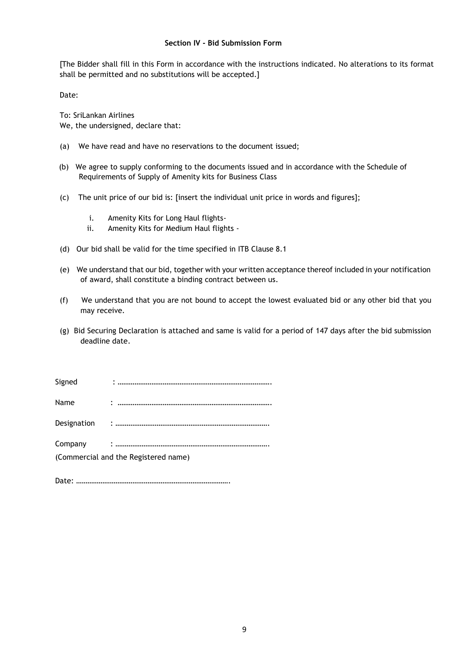## **Section IV - Bid Submission Form**

[The Bidder shall fill in this Form in accordance with the instructions indicated. No alterations to its format shall be permitted and no substitutions will be accepted.]

Date:

To: SriLankan Airlines We, the undersigned, declare that:

- (a) We have read and have no reservations to the document issued;
- (b) We agree to supply conforming to the documents issued and in accordance with the Schedule of Requirements of Supply of Amenity kits for Business Class
- (c) The unit price of our bid is: [insert the individual unit price in words and figures];
	- i. Amenity Kits for Long Haul flights-
	- ii. Amenity Kits for Medium Haul flights -
- (d) Our bid shall be valid for the time specified in ITB Clause 8.1
- (e) We understand that our bid, together with your written acceptance thereof included in your notification of award, shall constitute a binding contract between us.
- (f) We understand that you are not bound to accept the lowest evaluated bid or any other bid that you may receive.
- (g) Bid Securing Declaration is attached and same is valid for a period of 147 days after the bid submission deadline date.

Signed : ………………………………………………………………………. Name : ………………………………………………………………………. Designation : ……………………………………………………………………….

Company : ……………………………………………………………………….

(Commercial and the Registered name)

Date: ……………………………………………………………………….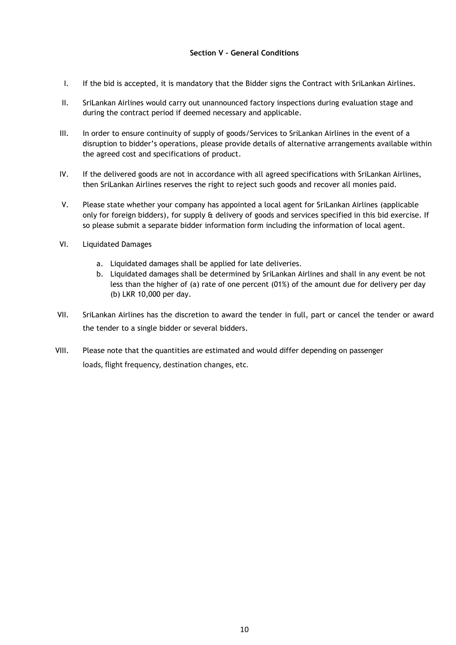## **Section V – General Conditions**

- I. If the bid is accepted, it is mandatory that the Bidder signs the Contract with SriLankan Airlines.
- II. SriLankan Airlines would carry out unannounced factory inspections during evaluation stage and during the contract period if deemed necessary and applicable.
- III. In order to ensure continuity of supply of goods/Services to SriLankan Airlines in the event of a disruption to bidder's operations, please provide details of alternative arrangements available within the agreed cost and specifications of product.
- IV. If the delivered goods are not in accordance with all agreed specifications with SriLankan Airlines, then SriLankan Airlines reserves the right to reject such goods and recover all monies paid.
- V. Please state whether your company has appointed a local agent for SriLankan Airlines (applicable only for foreign bidders), for supply & delivery of goods and services specified in this bid exercise. If so please submit a separate bidder information form including the information of local agent.
- VI. Liquidated Damages
	- a. Liquidated damages shall be applied for late deliveries.
	- b. Liquidated damages shall be determined by SriLankan Airlines and shall in any event be not less than the higher of (a) rate of one percent (01%) of the amount due for delivery per day (b) LKR 10,000 per day.
- VII. SriLankan Airlines has the discretion to award the tender in full, part or cancel the tender or award the tender to a single bidder or several bidders.
- VIII. Please note that the quantities are estimated and would differ depending on passenger loads, flight frequency, destination changes, etc.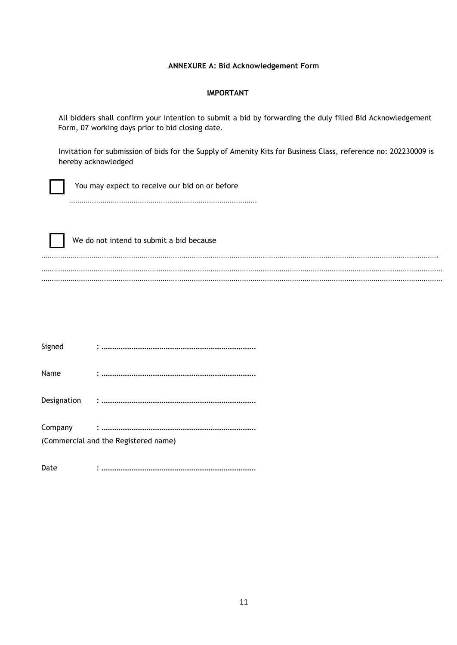## **ANNEXURE A: Bid Acknowledgement Form**

### **IMPORTANT**

All bidders shall confirm your intention to submit a bid by forwarding the duly filled Bid Acknowledgement Form, 07 working days prior to bid closing date.

Invitation for submission of bids for the Supply of Amenity Kits for Business Class, reference no: 202230009 is hereby acknowledged

You may expect to receive our bid on or before

………………………………………………………………………………

 We do not intend to submit a bid because ………………………………………………………………………………………………………………………………………………………………………. ………………………………………………………………………………………………………………………………………………………………………… …………………………………………………………………………………………………………………………………………………………………………

| Signed  |                                      |
|---------|--------------------------------------|
| Name    |                                      |
|         |                                      |
| Company | (Commercial and the Registered name) |
| Date    |                                      |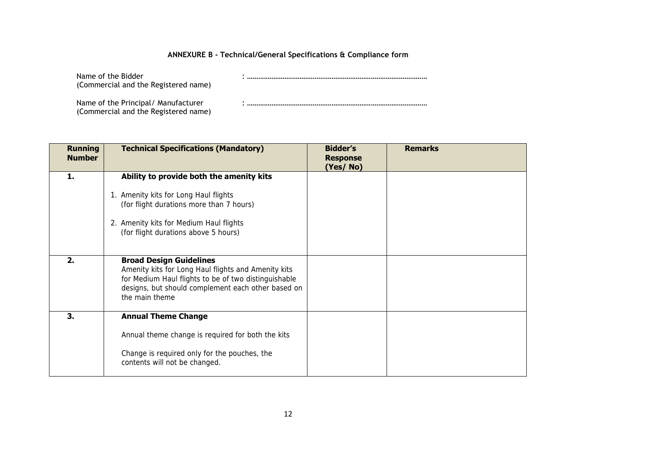## **ANNEXURE B - Technical/General Specifications & Compliance form**

Name of the Bidder : ……………………………………………………………………………………

(Commercial and the Registered name)

Name of the Principal/ Manufacturer : …………………………………………………………………………………… (Commercial and the Registered name)

| <b>Running</b><br><b>Number</b> | <b>Technical Specifications (Mandatory)</b>                                                                                                                                                                           | <b>Bidder's</b><br><b>Response</b><br>(Yes/No) | <b>Remarks</b> |
|---------------------------------|-----------------------------------------------------------------------------------------------------------------------------------------------------------------------------------------------------------------------|------------------------------------------------|----------------|
| 1.                              | Ability to provide both the amenity kits<br>1. Amenity kits for Long Haul flights<br>(for flight durations more than 7 hours)<br>2. Amenity kits for Medium Haul flights<br>(for flight durations above 5 hours)      |                                                |                |
| 2.                              | <b>Broad Design Guidelines</b><br>Amenity kits for Long Haul flights and Amenity kits<br>for Medium Haul flights to be of two distinguishable<br>designs, but should complement each other based on<br>the main theme |                                                |                |
| 3.                              | <b>Annual Theme Change</b><br>Annual theme change is required for both the kits<br>Change is required only for the pouches, the<br>contents will not be changed.                                                      |                                                |                |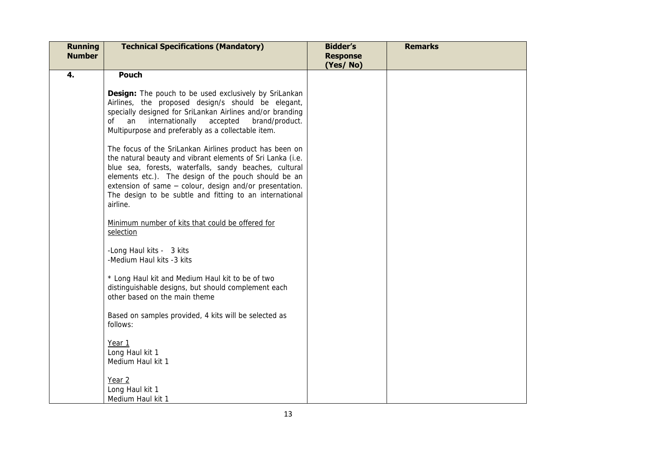| <b>Running</b><br><b>Number</b> | <b>Technical Specifications (Mandatory)</b>                                                                                                                                                                                                                                                                                                                                                                                                                                                                                                                                                                                                                                                                                                                                                                                                                                                                                                                                                                                                                                                         | <b>Bidder's</b><br><b>Response</b><br>(Yes/No) | <b>Remarks</b> |
|---------------------------------|-----------------------------------------------------------------------------------------------------------------------------------------------------------------------------------------------------------------------------------------------------------------------------------------------------------------------------------------------------------------------------------------------------------------------------------------------------------------------------------------------------------------------------------------------------------------------------------------------------------------------------------------------------------------------------------------------------------------------------------------------------------------------------------------------------------------------------------------------------------------------------------------------------------------------------------------------------------------------------------------------------------------------------------------------------------------------------------------------------|------------------------------------------------|----------------|
| 4.                              | <b>Pouch</b><br><b>Design:</b> The pouch to be used exclusively by SriLankan<br>Airlines, the proposed design/s should be elegant,<br>specially designed for SriLankan Airlines and/or branding<br>of an<br>internationally<br>accepted<br>brand/product.<br>Multipurpose and preferably as a collectable item.<br>The focus of the SriLankan Airlines product has been on<br>the natural beauty and vibrant elements of Sri Lanka (i.e.<br>blue sea, forests, waterfalls, sandy beaches, cultural<br>elements etc.). The design of the pouch should be an<br>extension of same - colour, design and/or presentation.<br>The design to be subtle and fitting to an international<br>airline.<br>Minimum number of kits that could be offered for<br>selection<br>-Long Haul kits - 3 kits<br>-Medium Haul kits -3 kits<br>* Long Haul kit and Medium Haul kit to be of two<br>distinguishable designs, but should complement each<br>other based on the main theme<br>Based on samples provided, 4 kits will be selected as<br>follows:<br>Year 1<br>Long Haul kit 1<br>Medium Haul kit 1<br>Year 2 |                                                |                |
|                                 | Long Haul kit 1<br>Medium Haul kit 1                                                                                                                                                                                                                                                                                                                                                                                                                                                                                                                                                                                                                                                                                                                                                                                                                                                                                                                                                                                                                                                                |                                                |                |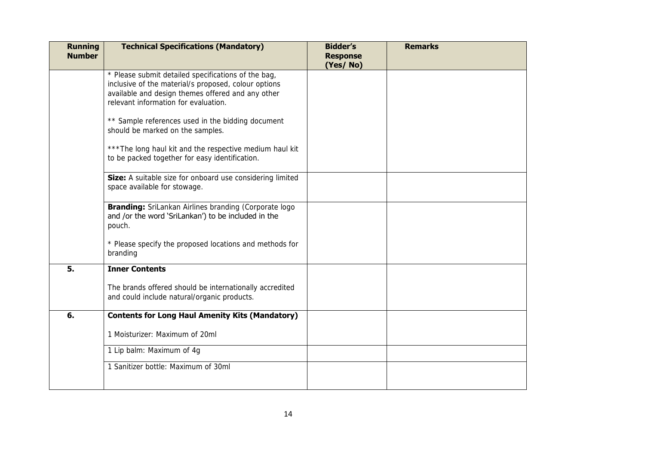| <b>Running</b><br><b>Number</b> | <b>Technical Specifications (Mandatory)</b>                                                                                                                                                              | <b>Bidder's</b><br><b>Response</b><br>(Yes/No) | <b>Remarks</b> |  |
|---------------------------------|----------------------------------------------------------------------------------------------------------------------------------------------------------------------------------------------------------|------------------------------------------------|----------------|--|
|                                 | * Please submit detailed specifications of the bag,<br>inclusive of the material/s proposed, colour options<br>available and design themes offered and any other<br>relevant information for evaluation. |                                                |                |  |
|                                 | ** Sample references used in the bidding document<br>should be marked on the samples.                                                                                                                    |                                                |                |  |
|                                 | *** The long haul kit and the respective medium haul kit<br>to be packed together for easy identification.                                                                                               |                                                |                |  |
|                                 | Size: A suitable size for onboard use considering limited<br>space available for stowage.                                                                                                                |                                                |                |  |
|                                 | <b>Branding:</b> SriLankan Airlines branding (Corporate logo<br>and /or the word 'SriLankan') to be included in the<br>pouch.                                                                            |                                                |                |  |
|                                 | * Please specify the proposed locations and methods for<br>branding                                                                                                                                      |                                                |                |  |
| $\overline{5}$ .                | <b>Inner Contents</b>                                                                                                                                                                                    |                                                |                |  |
|                                 | The brands offered should be internationally accredited<br>and could include natural/organic products.                                                                                                   |                                                |                |  |
| 6.                              | <b>Contents for Long Haul Amenity Kits (Mandatory)</b>                                                                                                                                                   |                                                |                |  |
|                                 | 1 Moisturizer: Maximum of 20ml                                                                                                                                                                           |                                                |                |  |
|                                 | 1 Lip balm: Maximum of 4g                                                                                                                                                                                |                                                |                |  |
|                                 | 1 Sanitizer bottle: Maximum of 30ml                                                                                                                                                                      |                                                |                |  |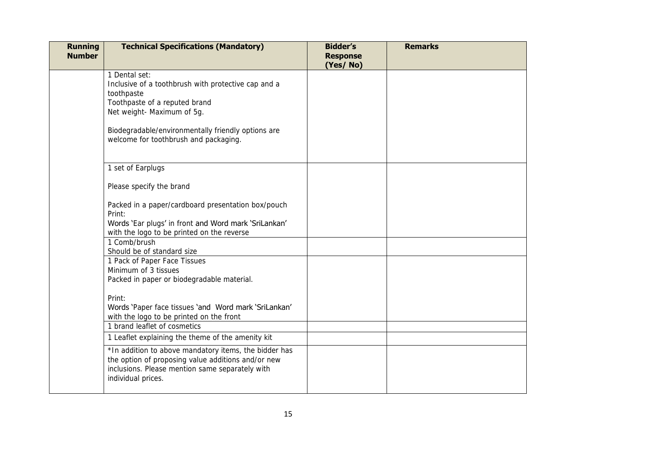| <b>Running</b><br><b>Number</b> | <b>Technical Specifications (Mandatory)</b>                                                                                                                                                             | <b>Bidder's</b><br><b>Response</b><br>(Yes/No) | <b>Remarks</b> |
|---------------------------------|---------------------------------------------------------------------------------------------------------------------------------------------------------------------------------------------------------|------------------------------------------------|----------------|
|                                 | 1 Dental set:<br>Inclusive of a toothbrush with protective cap and a<br>toothpaste<br>Toothpaste of a reputed brand<br>Net weight- Maximum of 5g.<br>Biodegradable/environmentally friendly options are |                                                |                |
|                                 | welcome for toothbrush and packaging.                                                                                                                                                                   |                                                |                |
|                                 | 1 set of Earplugs<br>Please specify the brand                                                                                                                                                           |                                                |                |
|                                 | Packed in a paper/cardboard presentation box/pouch<br>Print:<br>Words 'Ear plugs' in front and Word mark 'SriLankan'<br>with the logo to be printed on the reverse                                      |                                                |                |
|                                 | 1 Comb/brush<br>Should be of standard size                                                                                                                                                              |                                                |                |
|                                 | 1 Pack of Paper Face Tissues<br>Minimum of 3 tissues<br>Packed in paper or biodegradable material.                                                                                                      |                                                |                |
|                                 | Print:<br>Words 'Paper face tissues 'and Word mark 'SriLankan'<br>with the logo to be printed on the front                                                                                              |                                                |                |
|                                 | 1 brand leaflet of cosmetics<br>1 Leaflet explaining the theme of the amenity kit                                                                                                                       |                                                |                |
|                                 | *In addition to above mandatory items, the bidder has<br>the option of proposing value additions and/or new<br>inclusions. Please mention same separately with<br>individual prices.                    |                                                |                |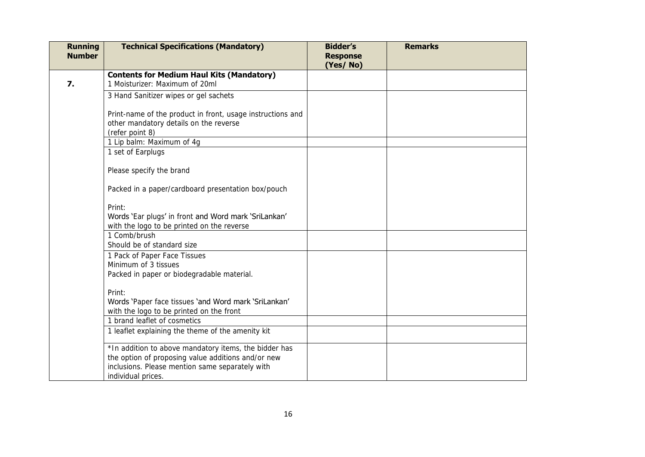| <b>Running</b><br><b>Number</b> | <b>Technical Specifications (Mandatory)</b>                                                                                                                                          | <b>Bidder's</b><br><b>Response</b><br>(Yes/No) | <b>Remarks</b> |  |
|---------------------------------|--------------------------------------------------------------------------------------------------------------------------------------------------------------------------------------|------------------------------------------------|----------------|--|
| 7.                              | <b>Contents for Medium Haul Kits (Mandatory)</b><br>1 Moisturizer: Maximum of 20ml                                                                                                   |                                                |                |  |
|                                 | 3 Hand Sanitizer wipes or gel sachets                                                                                                                                                |                                                |                |  |
|                                 | Print-name of the product in front, usage instructions and<br>other mandatory details on the reverse<br>(refer point 8)                                                              |                                                |                |  |
|                                 | 1 Lip balm: Maximum of 4g                                                                                                                                                            |                                                |                |  |
|                                 | 1 set of Earplugs                                                                                                                                                                    |                                                |                |  |
|                                 | Please specify the brand                                                                                                                                                             |                                                |                |  |
|                                 | Packed in a paper/cardboard presentation box/pouch                                                                                                                                   |                                                |                |  |
|                                 | Print:<br>Words 'Ear plugs' in front and Word mark 'SriLankan'<br>with the logo to be printed on the reverse                                                                         |                                                |                |  |
|                                 | 1 Comb/brush<br>Should be of standard size                                                                                                                                           |                                                |                |  |
|                                 | 1 Pack of Paper Face Tissues<br>Minimum of 3 tissues<br>Packed in paper or biodegradable material.                                                                                   |                                                |                |  |
|                                 | Print:<br>Words 'Paper face tissues 'and Word mark 'SriLankan'<br>with the logo to be printed on the front                                                                           |                                                |                |  |
|                                 | 1 brand leaflet of cosmetics                                                                                                                                                         |                                                |                |  |
|                                 | 1 leaflet explaining the theme of the amenity kit                                                                                                                                    |                                                |                |  |
|                                 | *In addition to above mandatory items, the bidder has<br>the option of proposing value additions and/or new<br>inclusions. Please mention same separately with<br>individual prices. |                                                |                |  |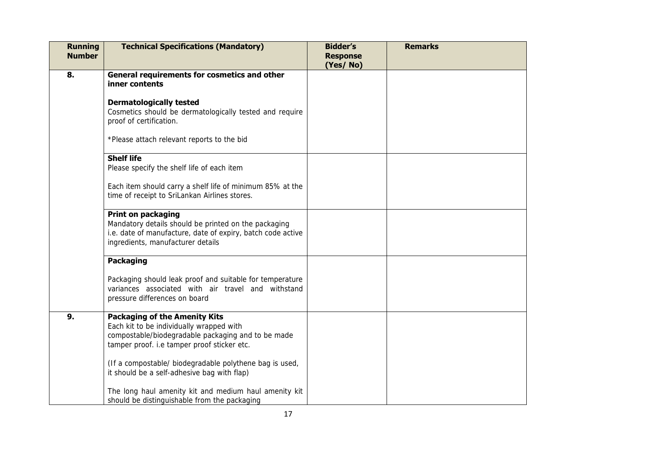| <b>Running</b><br><b>Number</b> | <b>Technical Specifications (Mandatory)</b>                                                                                                                                           | <b>Bidder's</b><br><b>Response</b><br>(Yes/No) | <b>Remarks</b> |
|---------------------------------|---------------------------------------------------------------------------------------------------------------------------------------------------------------------------------------|------------------------------------------------|----------------|
| 8.                              | General requirements for cosmetics and other<br>inner contents                                                                                                                        |                                                |                |
|                                 | <b>Dermatologically tested</b><br>Cosmetics should be dermatologically tested and require<br>proof of certification.                                                                  |                                                |                |
|                                 | *Please attach relevant reports to the bid                                                                                                                                            |                                                |                |
|                                 | <b>Shelf life</b><br>Please specify the shelf life of each item                                                                                                                       |                                                |                |
|                                 | Each item should carry a shelf life of minimum 85% at the<br>time of receipt to SriLankan Airlines stores.                                                                            |                                                |                |
|                                 | <b>Print on packaging</b><br>Mandatory details should be printed on the packaging<br>i.e. date of manufacture, date of expiry, batch code active<br>ingredients, manufacturer details |                                                |                |
|                                 | <b>Packaging</b>                                                                                                                                                                      |                                                |                |
|                                 | Packaging should leak proof and suitable for temperature<br>variances associated with air travel and withstand<br>pressure differences on board                                       |                                                |                |
| 9.                              | <b>Packaging of the Amenity Kits</b><br>Each kit to be individually wrapped with<br>compostable/biodegradable packaging and to be made<br>tamper proof. i.e tamper proof sticker etc. |                                                |                |
|                                 | (If a compostable/ biodegradable polythene bag is used,<br>it should be a self-adhesive bag with flap)                                                                                |                                                |                |
|                                 | The long haul amenity kit and medium haul amenity kit<br>should be distinguishable from the packaging                                                                                 |                                                |                |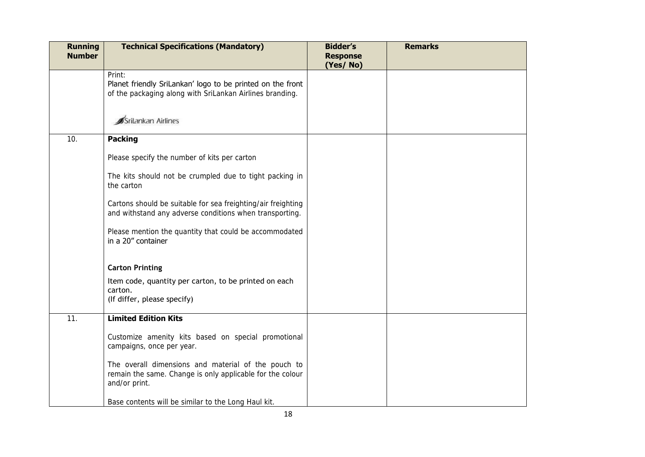| <b>Running</b><br><b>Number</b> | <b>Technical Specifications (Mandatory)</b>                                                                                       | <b>Bidder's</b><br><b>Response</b><br>(Yes/No) | <b>Remarks</b> |
|---------------------------------|-----------------------------------------------------------------------------------------------------------------------------------|------------------------------------------------|----------------|
|                                 | Print:<br>Planet friendly SriLankan' logo to be printed on the front<br>of the packaging along with SriLankan Airlines branding.  |                                                |                |
|                                 | Srilankan Airlines                                                                                                                |                                                |                |
| 10.                             | <b>Packing</b>                                                                                                                    |                                                |                |
|                                 | Please specify the number of kits per carton                                                                                      |                                                |                |
|                                 | The kits should not be crumpled due to tight packing in<br>the carton                                                             |                                                |                |
|                                 | Cartons should be suitable for sea freighting/air freighting<br>and withstand any adverse conditions when transporting.           |                                                |                |
|                                 | Please mention the quantity that could be accommodated<br>in a 20" container                                                      |                                                |                |
|                                 | <b>Carton Printing</b>                                                                                                            |                                                |                |
|                                 | Item code, quantity per carton, to be printed on each<br>carton.<br>(If differ, please specify)                                   |                                                |                |
| 11.                             | <b>Limited Edition Kits</b>                                                                                                       |                                                |                |
|                                 | Customize amenity kits based on special promotional<br>campaigns, once per year.                                                  |                                                |                |
|                                 | The overall dimensions and material of the pouch to<br>remain the same. Change is only applicable for the colour<br>and/or print. |                                                |                |
|                                 | Base contents will be similar to the Long Haul kit.                                                                               |                                                |                |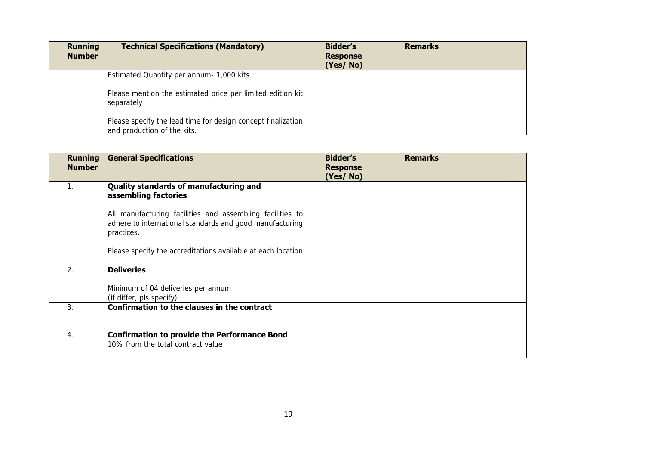| <b>Running</b><br><b>Number</b> | <b>Technical Specifications (Mandatory)</b>                                                 | <b>Bidder's</b><br><b>Response</b><br>(Yes/No) | <b>Remarks</b> |
|---------------------------------|---------------------------------------------------------------------------------------------|------------------------------------------------|----------------|
|                                 | Estimated Quantity per annum- 1,000 kits                                                    |                                                |                |
|                                 | Please mention the estimated price per limited edition kit<br>separately                    |                                                |                |
|                                 | Please specify the lead time for design concept finalization<br>and production of the kits. |                                                |                |

| <b>Running</b><br><b>Number</b> | <b>General Specifications</b>                                                                                                       | <b>Bidder's</b><br><b>Response</b><br>(Yes/No) | <b>Remarks</b> |
|---------------------------------|-------------------------------------------------------------------------------------------------------------------------------------|------------------------------------------------|----------------|
|                                 | Quality standards of manufacturing and<br>assembling factories                                                                      |                                                |                |
|                                 | All manufacturing facilities and assembling facilities to<br>adhere to international standards and good manufacturing<br>practices. |                                                |                |
|                                 | Please specify the accreditations available at each location                                                                        |                                                |                |
| 2.                              | <b>Deliveries</b>                                                                                                                   |                                                |                |
|                                 | Minimum of 04 deliveries per annum<br>(if differ, pls specify)                                                                      |                                                |                |
| 3.                              | Confirmation to the clauses in the contract                                                                                         |                                                |                |
| 4.                              | <b>Confirmation to provide the Performance Bond</b><br>10% from the total contract value                                            |                                                |                |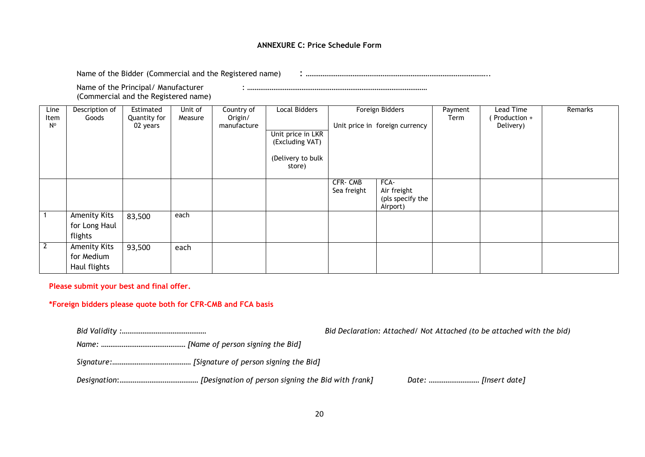#### **ANNEXURE C: Price Schedule Form**

Name of the Bidder (Commercial and the Registered name) : ……………………………………………………………………………………..

Name of the Principal/ Manufacturer : …………………………………………………………………………………… (Commercial and the Registered name)

| Line<br>Item<br>$N^{\circ}$ | Description of<br>Goods                         | Estimated<br>Quantity for<br>02 years | Unit of<br>Measure | Country of<br>Origin/<br>manufacture | <b>Local Bidders</b><br>Unit price in LKR<br>(Excluding VAT)<br>(Delivery to bulk<br>store) |                        | Foreign Bidders<br>Unit price in foreign currency   | Payment<br>Term | Lead Time<br>Production +<br>Delivery) | Remarks |
|-----------------------------|-------------------------------------------------|---------------------------------------|--------------------|--------------------------------------|---------------------------------------------------------------------------------------------|------------------------|-----------------------------------------------------|-----------------|----------------------------------------|---------|
|                             |                                                 |                                       |                    |                                      |                                                                                             | CFR-CMB<br>Sea freight | FCA-<br>Air freight<br>(pls specify the<br>Airport) |                 |                                        |         |
|                             | <b>Amenity Kits</b><br>for Long Haul<br>flights | 83,500                                | each               |                                      |                                                                                             |                        |                                                     |                 |                                        |         |
| $\overline{2}$              | Amenity Kits<br>for Medium<br>Haul flights      | 93,500                                | each               |                                      |                                                                                             |                        |                                                     |                 |                                        |         |

**Please submit your best and final offer.** 

**\*Foreign bidders please quote both for CFR-CMB and FCA basis** 

*Bid Validity :……………………………………… Bid Declaration: Attached/ Not Attached (to be attached with the bid)* 

*Name: ……………………………………… [Name of person signing the Bid]* 

*Signature:*…………………………………… *[Signature of person signing the Bid]*

*Designation*:…………………………………… *[Designation of person signing the Bid with frank] Date:* ……………………… *[Insert date]*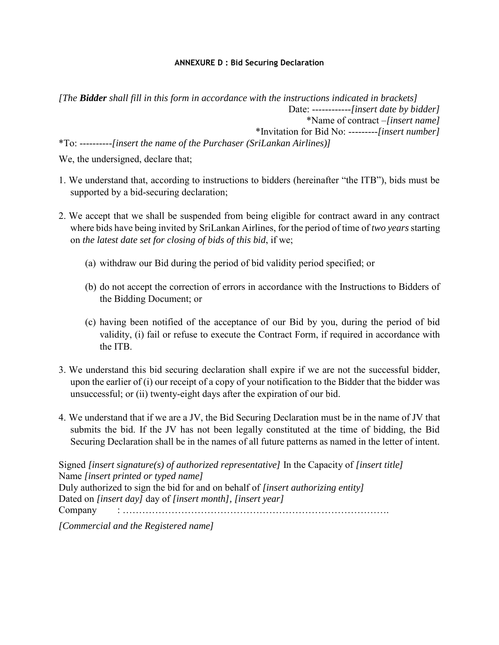## **ANNEXURE D : Bid Securing Declaration**

*[The Bidder shall fill in this form in accordance with the instructions indicated in brackets]*  Date: ------------*[insert date by bidder]*  \*Name of contract –*[insert name]* \*Invitation for Bid No: ---------*[insert number]*  \*To: ----------*[insert the name of the Purchaser (SriLankan Airlines)]* 

We, the undersigned, declare that;

- 1. We understand that, according to instructions to bidders (hereinafter "the ITB"), bids must be supported by a bid-securing declaration;
- 2. We accept that we shall be suspended from being eligible for contract award in any contract where bids have being invited by SriLankan Airlines, for the period of time of *two years* starting on *the latest date set for closing of bids of this bid*, if we;
	- (a) withdraw our Bid during the period of bid validity period specified; or
	- (b) do not accept the correction of errors in accordance with the Instructions to Bidders of the Bidding Document; or
	- (c) having been notified of the acceptance of our Bid by you, during the period of bid validity, (i) fail or refuse to execute the Contract Form, if required in accordance with the ITB.
- 3. We understand this bid securing declaration shall expire if we are not the successful bidder, upon the earlier of (i) our receipt of a copy of your notification to the Bidder that the bidder was unsuccessful; or (ii) twenty-eight days after the expiration of our bid.
- 4. We understand that if we are a JV, the Bid Securing Declaration must be in the name of JV that submits the bid. If the JV has not been legally constituted at the time of bidding, the Bid Securing Declaration shall be in the names of all future patterns as named in the letter of intent.

Signed *[insert signature(s) of authorized representative]* In the Capacity of *[insert title]*  Name *[insert printed or typed name]*  Duly authorized to sign the bid for and on behalf of *[insert authorizing entity]*  Dated on *[insert day]* day of *[insert month], [insert year]*  Company : ……………………………………………………………………….

*[Commercial and the Registered name]*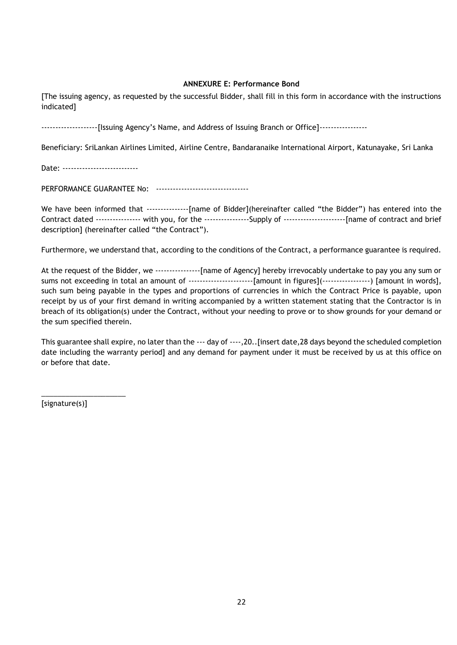## **ANNEXURE E: Performance Bond**

[The issuing agency, as requested by the successful Bidder, shall fill in this form in accordance with the instructions indicated]

--------------------[Issuing Agency's Name, and Address of Issuing Branch or Office]-----------------

Beneficiary: SriLankan Airlines Limited, Airline Centre, Bandaranaike International Airport, Katunayake, Sri Lanka

Date: ----------------------------

PERFORMANCE GUARANTEE No: ----------------------------------

We have been informed that ---------------[name of Bidder](hereinafter called "the Bidder") has entered into the Contract dated ---------------- with you, for the ----------------Supply of ----------------------[name of contract and brief description] (hereinafter called "the Contract").

Furthermore, we understand that, according to the conditions of the Contract, a performance guarantee is required.

At the request of the Bidder, we ----------------[name of Agency] hereby irrevocably undertake to pay you any sum or sums not exceeding in total an amount of --------------------------[amount in figures](------------------) [amount in words], such sum being payable in the types and proportions of currencies in which the Contract Price is payable, upon receipt by us of your first demand in writing accompanied by a written statement stating that the Contractor is in breach of its obligation(s) under the Contract, without your needing to prove or to show grounds for your demand or the sum specified therein.

This guarantee shall expire, no later than the --- day of ----,20..[insert date,28 days beyond the scheduled completion date including the warranty period] and any demand for payment under it must be received by us at this office on or before that date.

[signature(s)]

\_\_\_\_\_\_\_\_\_\_\_\_\_\_\_\_\_\_\_\_\_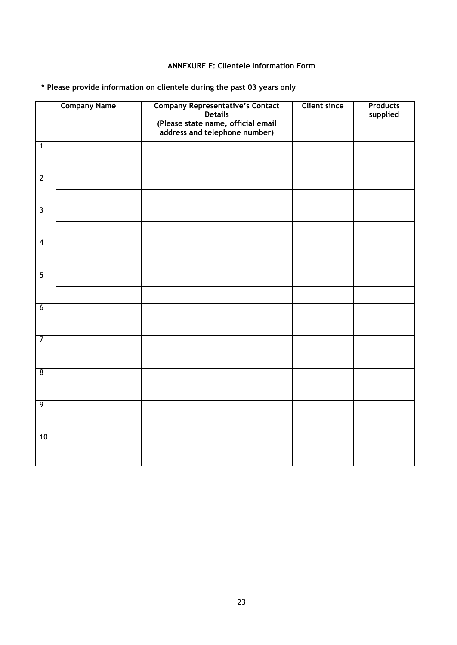## **ANNEXURE F: Clientele Information Form**

**\* Please provide information on clientele during the past 03 years only** 

|                         | <b>Company Name</b> | <b>Company Representative's Contact</b><br>Details<br>(Please state name, official email<br>address and telephone number) | <b>Client since</b> | <b>Products</b><br>supplied |
|-------------------------|---------------------|---------------------------------------------------------------------------------------------------------------------------|---------------------|-----------------------------|
| $\overline{1}$          |                     |                                                                                                                           |                     |                             |
| $\overline{2}$          |                     |                                                                                                                           |                     |                             |
| $\overline{\mathbf{3}}$ |                     |                                                                                                                           |                     |                             |
| $\overline{4}$          |                     |                                                                                                                           |                     |                             |
|                         |                     |                                                                                                                           |                     |                             |
| $\overline{5}$          |                     |                                                                                                                           |                     |                             |
| $6\overline{6}$         |                     |                                                                                                                           |                     |                             |
|                         |                     |                                                                                                                           |                     |                             |
| $\overline{7}$          |                     |                                                                                                                           |                     |                             |
| $\overline{8}$          |                     |                                                                                                                           |                     |                             |
| $\overline{9}$          |                     |                                                                                                                           |                     |                             |
|                         |                     |                                                                                                                           |                     |                             |
| 10                      |                     |                                                                                                                           |                     |                             |
|                         |                     |                                                                                                                           |                     |                             |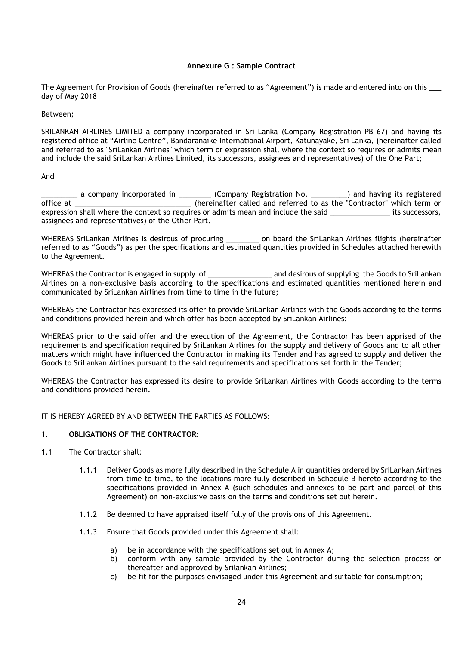## **Annexure G : Sample Contract**

The Agreement for Provision of Goods (hereinafter referred to as "Agreement") is made and entered into on this \_\_\_ day of May 2018

Between;

SRILANKAN AIRLINES LIMITED a company incorporated in Sri Lanka (Company Registration PB 67) and having its registered office at "Airline Centre", Bandaranaike International Airport, Katunayake, Sri Lanka, (hereinafter called and referred to as "SriLankan Airlines" which term or expression shall where the context so requires or admits mean and include the said SriLankan Airlines Limited, its successors, assignees and representatives) of the One Part;

And

 $\_$  a company incorporated in \_\_\_\_\_\_\_\_\_ (Company Registration No. \_\_\_\_\_\_\_\_\_) and having its registered office at \_\_\_\_\_\_\_\_\_\_\_\_\_\_\_\_\_\_\_\_\_\_\_\_\_\_\_\_\_ (hereinafter called and referred to as the "Contractor" which term or expression shall where the context so requires or admits mean and include the said \_\_\_\_\_\_\_\_\_\_\_\_\_\_\_ its successors, assignees and representatives) of the Other Part.

WHEREAS SriLankan Airlines is desirous of procuring \_\_\_\_\_\_\_\_ on board the SriLankan Airlines flights (hereinafter referred to as "Goods") as per the specifications and estimated quantities provided in Schedules attached herewith to the Agreement.

WHEREAS the Contractor is engaged in supply of \_\_\_\_\_\_\_\_\_\_\_\_\_\_\_\_\_\_\_\_ and desirous of supplying the Goods to SriLankan Airlines on a non-exclusive basis according to the specifications and estimated quantities mentioned herein and communicated by SriLankan Airlines from time to time in the future;

WHEREAS the Contractor has expressed its offer to provide SriLankan Airlines with the Goods according to the terms and conditions provided herein and which offer has been accepted by SriLankan Airlines;

WHEREAS prior to the said offer and the execution of the Agreement, the Contractor has been apprised of the requirements and specification required by SriLankan Airlines for the supply and delivery of Goods and to all other matters which might have influenced the Contractor in making its Tender and has agreed to supply and deliver the Goods to SriLankan Airlines pursuant to the said requirements and specifications set forth in the Tender;

WHEREAS the Contractor has expressed its desire to provide SriLankan Airlines with Goods according to the terms and conditions provided herein.

IT IS HEREBY AGREED BY AND BETWEEN THE PARTIES AS FOLLOWS:

#### 1. **OBLIGATIONS OF THE CONTRACTOR:**

- 1.1 The Contractor shall:
	- 1.1.1 Deliver Goods as more fully described in the Schedule A in quantities ordered by SriLankan Airlines from time to time, to the locations more fully described in Schedule B hereto according to the specifications provided in Annex A (such schedules and annexes to be part and parcel of this Agreement) on non-exclusive basis on the terms and conditions set out herein.
	- 1.1.2 Be deemed to have appraised itself fully of the provisions of this Agreement.
	- 1.1.3 Ensure that Goods provided under this Agreement shall:
		- a) be in accordance with the specifications set out in Annex A;
		- b) conform with any sample provided by the Contractor during the selection process or thereafter and approved by Srilankan Airlines;
		- c) be fit for the purposes envisaged under this Agreement and suitable for consumption;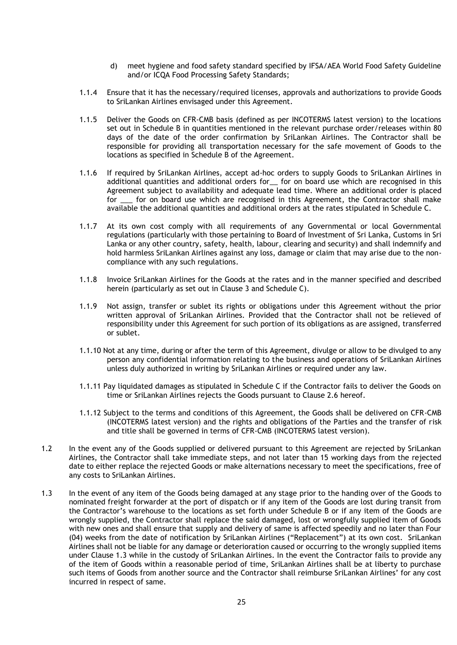- d) meet hygiene and food safety standard specified by IFSA/AEA World Food Safety Guideline and/or ICQA Food Processing Safety Standards;
- 1.1.4 Ensure that it has the necessary/required licenses, approvals and authorizations to provide Goods to SriLankan Airlines envisaged under this Agreement.
- 1.1.5 Deliver the Goods on CFR-CMB basis (defined as per INCOTERMS latest version) to the locations set out in Schedule B in quantities mentioned in the relevant purchase order/releases within 80 days of the date of the order confirmation by SriLankan Airlines. The Contractor shall be responsible for providing all transportation necessary for the safe movement of Goods to the locations as specified in Schedule B of the Agreement.
- 1.1.6 If required by SriLankan Airlines, accept ad-hoc orders to supply Goods to SriLankan Airlines in additional quantities and additional orders for \_ for on board use which are recognised in this Agreement subject to availability and adequate lead time. Where an additional order is placed for \_\_\_ for on board use which are recognised in this Agreement, the Contractor shall make available the additional quantities and additional orders at the rates stipulated in Schedule C.
- 1.1.7 At its own cost comply with all requirements of any Governmental or local Governmental regulations (particularly with those pertaining to Board of Investment of Sri Lanka, Customs in Sri Lanka or any other country, safety, health, labour, clearing and security) and shall indemnify and hold harmless SriLankan Airlines against any loss, damage or claim that may arise due to the noncompliance with any such regulations.
- 1.1.8 Invoice SriLankan Airlines for the Goods at the rates and in the manner specified and described herein (particularly as set out in Clause 3 and Schedule C).
- 1.1.9 Not assign, transfer or sublet its rights or obligations under this Agreement without the prior written approval of SriLankan Airlines. Provided that the Contractor shall not be relieved of responsibility under this Agreement for such portion of its obligations as are assigned, transferred or sublet.
- 1.1.10 Not at any time, during or after the term of this Agreement, divulge or allow to be divulged to any person any confidential information relating to the business and operations of SriLankan Airlines unless duly authorized in writing by SriLankan Airlines or required under any law.
- 1.1.11 Pay liquidated damages as stipulated in Schedule C if the Contractor fails to deliver the Goods on time or SriLankan Airlines rejects the Goods pursuant to Clause 2.6 hereof.
- 1.1.12 Subject to the terms and conditions of this Agreement, the Goods shall be delivered on CFR-CMB (INCOTERMS latest version) and the rights and obligations of the Parties and the transfer of risk and title shall be governed in terms of CFR-CMB (INCOTERMS latest version).
- 1.2 In the event any of the Goods supplied or delivered pursuant to this Agreement are rejected by SriLankan Airlines, the Contractor shall take immediate steps, and not later than 15 working days from the rejected date to either replace the rejected Goods or make alternations necessary to meet the specifications, free of any costs to SriLankan Airlines.
- 1.3 In the event of any item of the Goods being damaged at any stage prior to the handing over of the Goods to nominated freight forwarder at the port of dispatch or if any item of the Goods are lost during transit from the Contractor's warehouse to the locations as set forth under Schedule B or if any item of the Goods are wrongly supplied, the Contractor shall replace the said damaged, lost or wrongfully supplied item of Goods with new ones and shall ensure that supply and delivery of same is affected speedily and no later than Four (04) weeks from the date of notification by SriLankan Airlines ("Replacement") at its own cost. SriLankan Airlines shall not be liable for any damage or deterioration caused or occurring to the wrongly supplied items under Clause 1.3 while in the custody of SriLankan Airlines. In the event the Contractor fails to provide any of the item of Goods within a reasonable period of time, SriLankan Airlines shall be at liberty to purchase such items of Goods from another source and the Contractor shall reimburse SriLankan Airlines' for any cost incurred in respect of same.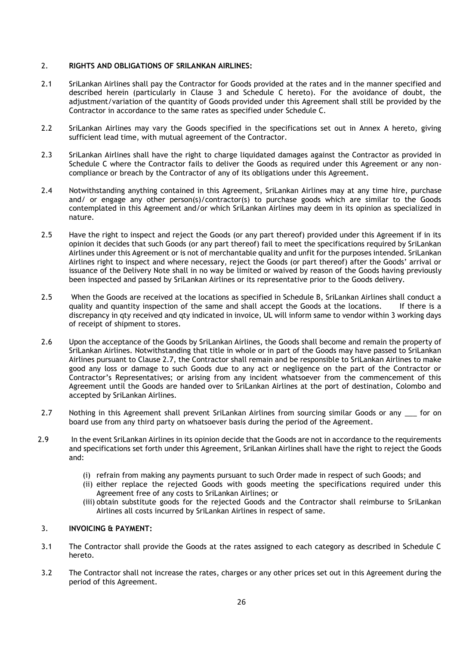## 2. **RIGHTS AND OBLIGATIONS OF SRILANKAN AIRLINES:**

- 2.1 SriLankan Airlines shall pay the Contractor for Goods provided at the rates and in the manner specified and described herein (particularly in Clause 3 and Schedule C hereto). For the avoidance of doubt, the adjustment/variation of the quantity of Goods provided under this Agreement shall still be provided by the Contractor in accordance to the same rates as specified under Schedule C.
- 2.2 SriLankan Airlines may vary the Goods specified in the specifications set out in Annex A hereto, giving sufficient lead time, with mutual agreement of the Contractor.
- 2.3 SriLankan Airlines shall have the right to charge liquidated damages against the Contractor as provided in Schedule C where the Contractor fails to deliver the Goods as required under this Agreement or any noncompliance or breach by the Contractor of any of its obligations under this Agreement.
- 2.4 Notwithstanding anything contained in this Agreement, SriLankan Airlines may at any time hire, purchase and/ or engage any other person(s)/contractor(s) to purchase goods which are similar to the Goods contemplated in this Agreement and/or which SriLankan Airlines may deem in its opinion as specialized in nature.
- 2.5 Have the right to inspect and reject the Goods (or any part thereof) provided under this Agreement if in its opinion it decides that such Goods (or any part thereof) fail to meet the specifications required by SriLankan Airlines under this Agreement or is not of merchantable quality and unfit for the purposes intended. SriLankan Airlines right to inspect and where necessary, reject the Goods (or part thereof) after the Goods' arrival or issuance of the Delivery Note shall in no way be limited or waived by reason of the Goods having previously been inspected and passed by SriLankan Airlines or its representative prior to the Goods delivery.
- 2.5 When the Goods are received at the locations as specified in Schedule B, SriLankan Airlines shall conduct a quality and quantity inspection of the same and shall accept the Goods at the locations. If there is a discrepancy in qty received and qty indicated in invoice, UL will inform same to vendor within 3 working days of receipt of shipment to stores.
- 2.6 Upon the acceptance of the Goods by SriLankan Airlines, the Goods shall become and remain the property of SriLankan Airlines. Notwithstanding that title in whole or in part of the Goods may have passed to SriLankan Airlines pursuant to Clause 2.7, the Contractor shall remain and be responsible to SriLankan Airlines to make good any loss or damage to such Goods due to any act or negligence on the part of the Contractor or Contractor's Representatives; or arising from any incident whatsoever from the commencement of this Agreement until the Goods are handed over to SriLankan Airlines at the port of destination, Colombo and accepted by SriLankan Airlines.
- 2.7 Nothing in this Agreement shall prevent SriLankan Airlines from sourcing similar Goods or any \_\_\_ for on board use from any third party on whatsoever basis during the period of the Agreement.
- 2.9 In the event SriLankan Airlines in its opinion decide that the Goods are not in accordance to the requirements and specifications set forth under this Agreement, SriLankan Airlines shall have the right to reject the Goods and:
	- (i) refrain from making any payments pursuant to such Order made in respect of such Goods; and
	- (ii) either replace the rejected Goods with goods meeting the specifications required under this Agreement free of any costs to SriLankan Airlines; or
	- (iii) obtain substitute goods for the rejected Goods and the Contractor shall reimburse to SriLankan Airlines all costs incurred by SriLankan Airlines in respect of same.

## 3. **INVOICING & PAYMENT:**

- 3.1 The Contractor shall provide the Goods at the rates assigned to each category as described in Schedule C hereto.
- 3.2 The Contractor shall not increase the rates, charges or any other prices set out in this Agreement during the period of this Agreement.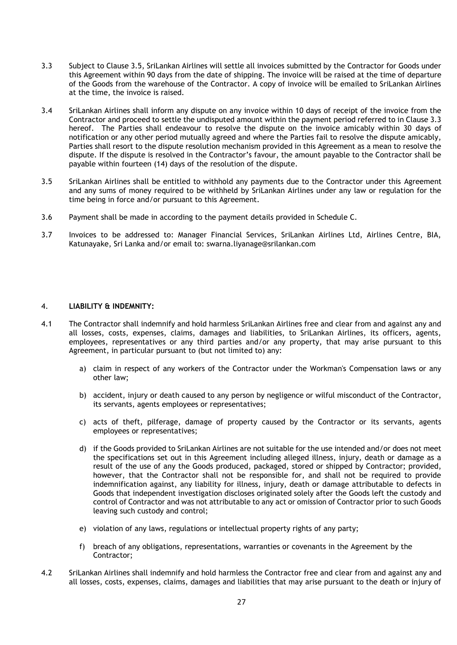- 3.3 Subject to Clause 3.5, SriLankan Airlines will settle all invoices submitted by the Contractor for Goods under this Agreement within 90 days from the date of shipping. The invoice will be raised at the time of departure of the Goods from the warehouse of the Contractor. A copy of invoice will be emailed to SriLankan Airlines at the time, the invoice is raised.
- 3.4 SriLankan Airlines shall inform any dispute on any invoice within 10 days of receipt of the invoice from the Contractor and proceed to settle the undisputed amount within the payment period referred to in Clause 3.3 hereof. The Parties shall endeavour to resolve the dispute on the invoice amicably within 30 days of notification or any other period mutually agreed and where the Parties fail to resolve the dispute amicably, Parties shall resort to the dispute resolution mechanism provided in this Agreement as a mean to resolve the dispute. If the dispute is resolved in the Contractor's favour, the amount payable to the Contractor shall be payable within fourteen (14) days of the resolution of the dispute.
- 3.5 SriLankan Airlines shall be entitled to withhold any payments due to the Contractor under this Agreement and any sums of money required to be withheld by SriLankan Airlines under any law or regulation for the time being in force and/or pursuant to this Agreement.
- 3.6 Payment shall be made in according to the payment details provided in Schedule C.
- 3.7 Invoices to be addressed to: Manager Financial Services, SriLankan Airlines Ltd, Airlines Centre, BIA, Katunayake, Sri Lanka and/or email to: swarna.liyanage@srilankan.com

### 4. **LIABILITY & INDEMNITY:**

- 4.1 The Contractor shall indemnify and hold harmless SriLankan Airlines free and clear from and against any and all losses, costs, expenses, claims, damages and liabilities, to SriLankan Airlines, its officers, agents, employees, representatives or any third parties and/or any property, that may arise pursuant to this Agreement, in particular pursuant to (but not limited to) any:
	- a) claim in respect of any workers of the Contractor under the Workman's Compensation laws or any other law;
	- b) accident, injury or death caused to any person by negligence or wilful misconduct of the Contractor, its servants, agents employees or representatives;
	- c) acts of theft, pilferage, damage of property caused by the Contractor or its servants, agents employees or representatives;
	- d) if the Goods provided to SriLankan Airlines are not suitable for the use intended and/or does not meet the specifications set out in this Agreement including alleged illness, injury, death or damage as a result of the use of any the Goods produced, packaged, stored or shipped by Contractor; provided, however, that the Contractor shall not be responsible for, and shall not be required to provide indemnification against, any liability for illness, injury, death or damage attributable to defects in Goods that independent investigation discloses originated solely after the Goods left the custody and control of Contractor and was not attributable to any act or omission of Contractor prior to such Goods leaving such custody and control;
	- e) violation of any laws, regulations or intellectual property rights of any party;
	- f) breach of any obligations, representations, warranties or covenants in the Agreement by the Contractor;
- 4.2 SriLankan Airlines shall indemnify and hold harmless the Contractor free and clear from and against any and all losses, costs, expenses, claims, damages and liabilities that may arise pursuant to the death or injury of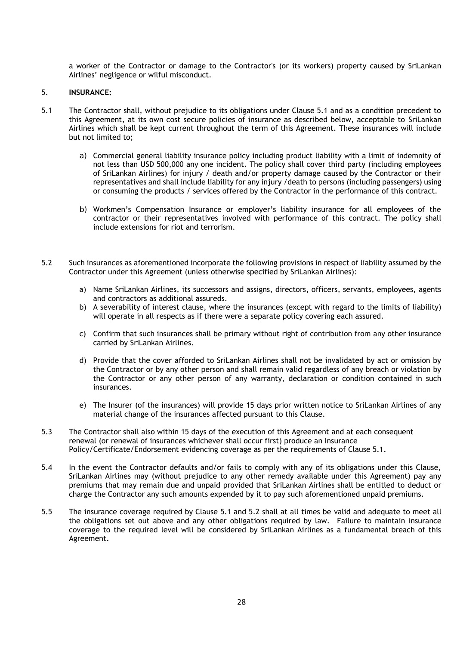a worker of the Contractor or damage to the Contractor's (or its workers) property caused by SriLankan Airlines' negligence or wilful misconduct.

#### 5. **INSURANCE:**

- 5.1 The Contractor shall, without prejudice to its obligations under Clause 5.1 and as a condition precedent to this Agreement, at its own cost secure policies of insurance as described below, acceptable to SriLankan Airlines which shall be kept current throughout the term of this Agreement. These insurances will include but not limited to;
	- a) Commercial general liability insurance policy including product liability with a limit of indemnity of not less than USD 500,000 any one incident. The policy shall cover third party (including employees of SriLankan Airlines) for injury / death and/or property damage caused by the Contractor or their representatives and shall include liability for any injury /death to persons (including passengers) using or consuming the products / services offered by the Contractor in the performance of this contract.
	- b) Workmen's Compensation Insurance or employer's liability insurance for all employees of the contractor or their representatives involved with performance of this contract. The policy shall include extensions for riot and terrorism.
- 5.2 Such insurances as aforementioned incorporate the following provisions in respect of liability assumed by the Contractor under this Agreement (unless otherwise specified by SriLankan Airlines):
	- a) Name SriLankan Airlines, its successors and assigns, directors, officers, servants, employees, agents and contractors as additional assureds.
	- b) A severability of interest clause, where the insurances (except with regard to the limits of liability) will operate in all respects as if there were a separate policy covering each assured.
	- c) Confirm that such insurances shall be primary without right of contribution from any other insurance carried by SriLankan Airlines.
	- d) Provide that the cover afforded to SriLankan Airlines shall not be invalidated by act or omission by the Contractor or by any other person and shall remain valid regardless of any breach or violation by the Contractor or any other person of any warranty, declaration or condition contained in such insurances.
	- e) The Insurer (of the insurances) will provide 15 days prior written notice to SriLankan Airlines of any material change of the insurances affected pursuant to this Clause.
- 5.3 The Contractor shall also within 15 days of the execution of this Agreement and at each consequent renewal (or renewal of insurances whichever shall occur first) produce an Insurance Policy/Certificate/Endorsement evidencing coverage as per the requirements of Clause 5.1.
- 5.4 In the event the Contractor defaults and/or fails to comply with any of its obligations under this Clause, SriLankan Airlines may (without prejudice to any other remedy available under this Agreement) pay any premiums that may remain due and unpaid provided that SriLankan Airlines shall be entitled to deduct or charge the Contractor any such amounts expended by it to pay such aforementioned unpaid premiums.
- 5.5 The insurance coverage required by Clause 5.1 and 5.2 shall at all times be valid and adequate to meet all the obligations set out above and any other obligations required by law. Failure to maintain insurance coverage to the required level will be considered by SriLankan Airlines as a fundamental breach of this Agreement.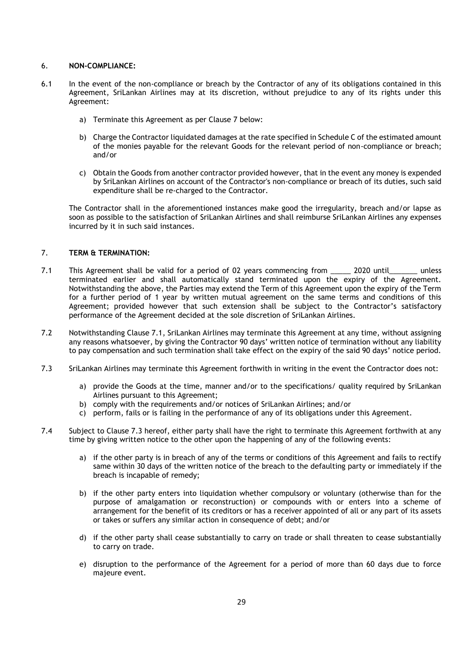## 6. **NON-COMPLIANCE:**

- 6.1 In the event of the non-compliance or breach by the Contractor of any of its obligations contained in this Agreement, SriLankan Airlines may at its discretion, without prejudice to any of its rights under this Agreement:
	- a) Terminate this Agreement as per Clause 7 below:
	- b) Charge the Contractor liquidated damages at the rate specified in Schedule C of the estimated amount of the monies payable for the relevant Goods for the relevant period of non-compliance or breach; and/or
	- c) Obtain the Goods from another contractor provided however, that in the event any money is expended by SriLankan Airlines on account of the Contractor's non-compliance or breach of its duties, such said expenditure shall be re-charged to the Contractor.

 The Contractor shall in the aforementioned instances make good the irregularity, breach and/or lapse as soon as possible to the satisfaction of SriLankan Airlines and shall reimburse SriLankan Airlines any expenses incurred by it in such said instances.

## 7. **TERM & TERMINATION:**

- 7.1 This Agreement shall be valid for a period of 02 years commencing from \_\_\_\_\_ 2020 until\_\_\_\_\_\_\_ unless terminated earlier and shall automatically stand terminated upon the expiry of the Agreement. Notwithstanding the above, the Parties may extend the Term of this Agreement upon the expiry of the Term for a further period of 1 year by written mutual agreement on the same terms and conditions of this Agreement; provided however that such extension shall be subject to the Contractor's satisfactory performance of the Agreement decided at the sole discretion of SriLankan Airlines.
- 7.2 Notwithstanding Clause 7.1, SriLankan Airlines may terminate this Agreement at any time, without assigning any reasons whatsoever, by giving the Contractor 90 days' written notice of termination without any liability to pay compensation and such termination shall take effect on the expiry of the said 90 days' notice period.
- 7.3 SriLankan Airlines may terminate this Agreement forthwith in writing in the event the Contractor does not:
	- a) provide the Goods at the time, manner and/or to the specifications/ quality required by SriLankan Airlines pursuant to this Agreement;
	- b) comply with the requirements and/or notices of SriLankan Airlines; and/or
	- c) perform, fails or is failing in the performance of any of its obligations under this Agreement.
- 7.4 Subject to Clause 7.3 hereof, either party shall have the right to terminate this Agreement forthwith at any time by giving written notice to the other upon the happening of any of the following events:
	- a) if the other party is in breach of any of the terms or conditions of this Agreement and fails to rectify same within 30 days of the written notice of the breach to the defaulting party or immediately if the breach is incapable of remedy;
	- b) if the other party enters into liquidation whether compulsory or voluntary (otherwise than for the purpose of amalgamation or reconstruction) or compounds with or enters into a scheme of arrangement for the benefit of its creditors or has a receiver appointed of all or any part of its assets or takes or suffers any similar action in consequence of debt; and/or
	- d) if the other party shall cease substantially to carry on trade or shall threaten to cease substantially to carry on trade.
	- e) disruption to the performance of the Agreement for a period of more than 60 days due to force majeure event.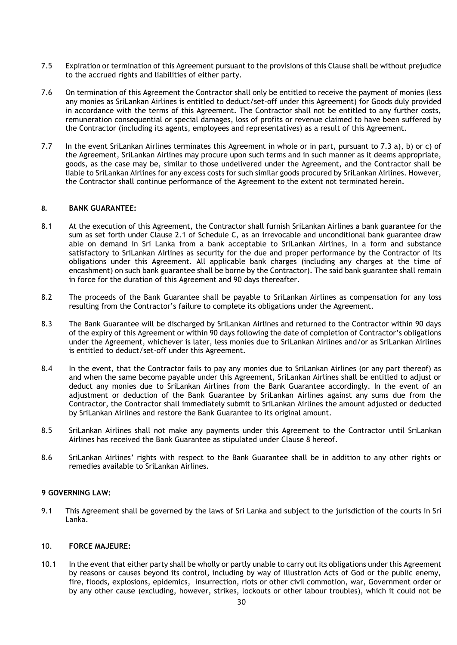- 7.5 Expiration or termination of this Agreement pursuant to the provisions of this Clause shall be without prejudice to the accrued rights and liabilities of either party.
- 7.6 On termination of this Agreement the Contractor shall only be entitled to receive the payment of monies (less any monies as SriLankan Airlines is entitled to deduct/set-off under this Agreement) for Goods duly provided in accordance with the terms of this Agreement. The Contractor shall not be entitled to any further costs, remuneration consequential or special damages, loss of profits or revenue claimed to have been suffered by the Contractor (including its agents, employees and representatives) as a result of this Agreement.
- 7.7 In the event SriLankan Airlines terminates this Agreement in whole or in part, pursuant to 7.3 a), b) or c) of the Agreement, SriLankan Airlines may procure upon such terms and in such manner as it deems appropriate, goods, as the case may be, similar to those undelivered under the Agreement, and the Contractor shall be liable to SriLankan Airlines for any excess costs for such similar goods procured by SriLankan Airlines. However, the Contractor shall continue performance of the Agreement to the extent not terminated herein.

### **8. BANK GUARANTEE:**

- 8.1 At the execution of this Agreement, the Contractor shall furnish SriLankan Airlines a bank guarantee for the sum as set forth under Clause 2.1 of Schedule C, as an irrevocable and unconditional bank guarantee draw able on demand in Sri Lanka from a bank acceptable to SriLankan Airlines, in a form and substance satisfactory to SriLankan Airlines as security for the due and proper performance by the Contractor of its obligations under this Agreement. All applicable bank charges (including any charges at the time of encashment) on such bank guarantee shall be borne by the Contractor). The said bank guarantee shall remain in force for the duration of this Agreement and 90 days thereafter.
- 8.2 The proceeds of the Bank Guarantee shall be payable to SriLankan Airlines as compensation for any loss resulting from the Contractor's failure to complete its obligations under the Agreement.
- 8.3 The Bank Guarantee will be discharged by SriLankan Airlines and returned to the Contractor within 90 days of the expiry of this Agreement or within 90 days following the date of completion of Contractor's obligations under the Agreement, whichever is later, less monies due to SriLankan Airlines and/or as SriLankan Airlines is entitled to deduct/set-off under this Agreement.
- 8.4 In the event, that the Contractor fails to pay any monies due to SriLankan Airlines (or any part thereof) as and when the same become payable under this Agreement, SriLankan Airlines shall be entitled to adjust or deduct any monies due to SriLankan Airlines from the Bank Guarantee accordingly. In the event of an adjustment or deduction of the Bank Guarantee by SriLankan Airlines against any sums due from the Contractor, the Contractor shall immediately submit to SriLankan Airlines the amount adjusted or deducted by SriLankan Airlines and restore the Bank Guarantee to its original amount.
- 8.5 SriLankan Airlines shall not make any payments under this Agreement to the Contractor until SriLankan Airlines has received the Bank Guarantee as stipulated under Clause 8 hereof.
- 8.6 SriLankan Airlines' rights with respect to the Bank Guarantee shall be in addition to any other rights or remedies available to SriLankan Airlines.

#### **9 GOVERNING LAW:**

9.1 This Agreement shall be governed by the laws of Sri Lanka and subject to the jurisdiction of the courts in Sri Lanka.

#### 10. **FORCE MAJEURE:**

10.1 In the event that either party shall be wholly or partly unable to carry out its obligations under this Agreement by reasons or causes beyond its control, including by way of illustration Acts of God or the public enemy, fire, floods, explosions, epidemics, insurrection, riots or other civil commotion, war, Government order or by any other cause (excluding, however, strikes, lockouts or other labour troubles), which it could not be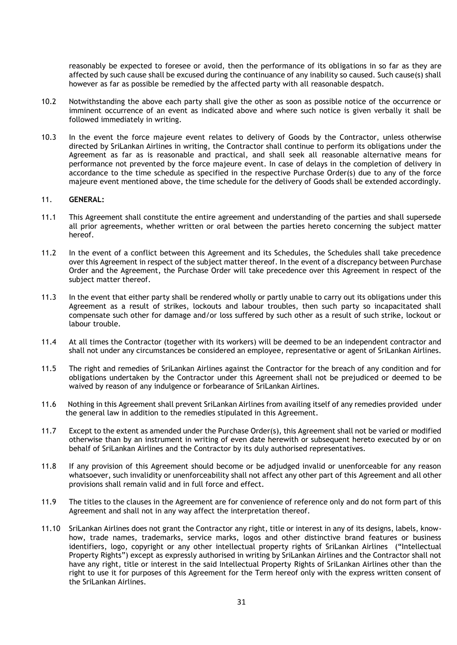reasonably be expected to foresee or avoid, then the performance of its obligations in so far as they are affected by such cause shall be excused during the continuance of any inability so caused. Such cause(s) shall however as far as possible be remedied by the affected party with all reasonable despatch.

- 10.2 Notwithstanding the above each party shall give the other as soon as possible notice of the occurrence or imminent occurrence of an event as indicated above and where such notice is given verbally it shall be followed immediately in writing.
- 10.3 In the event the force majeure event relates to delivery of Goods by the Contractor, unless otherwise directed by SriLankan Airlines in writing, the Contractor shall continue to perform its obligations under the Agreement as far as is reasonable and practical, and shall seek all reasonable alternative means for performance not prevented by the force majeure event. In case of delays in the completion of delivery in accordance to the time schedule as specified in the respective Purchase Order(s) due to any of the force majeure event mentioned above, the time schedule for the delivery of Goods shall be extended accordingly.

#### 11. **GENERAL:**

- 11.1 This Agreement shall constitute the entire agreement and understanding of the parties and shall supersede all prior agreements, whether written or oral between the parties hereto concerning the subject matter hereof.
- 11.2 In the event of a conflict between this Agreement and its Schedules, the Schedules shall take precedence over this Agreement in respect of the subject matter thereof. In the event of a discrepancy between Purchase Order and the Agreement, the Purchase Order will take precedence over this Agreement in respect of the subject matter thereof.
- 11.3 In the event that either party shall be rendered wholly or partly unable to carry out its obligations under this Agreement as a result of strikes, lockouts and labour troubles, then such party so incapacitated shall compensate such other for damage and/or loss suffered by such other as a result of such strike, lockout or labour trouble.
- 11.4 At all times the Contractor (together with its workers) will be deemed to be an independent contractor and shall not under any circumstances be considered an employee, representative or agent of SriLankan Airlines.
- 11.5 The right and remedies of SriLankan Airlines against the Contractor for the breach of any condition and for obligations undertaken by the Contractor under this Agreement shall not be prejudiced or deemed to be waived by reason of any indulgence or forbearance of SriLankan Airlines.
- 11.6 Nothing in this Agreement shall prevent SriLankan Airlines from availing itself of any remedies provided under the general law in addition to the remedies stipulated in this Agreement.
- 11.7 Except to the extent as amended under the Purchase Order(s), this Agreement shall not be varied or modified otherwise than by an instrument in writing of even date herewith or subsequent hereto executed by or on behalf of SriLankan Airlines and the Contractor by its duly authorised representatives.
- 11.8 If any provision of this Agreement should become or be adjudged invalid or unenforceable for any reason whatsoever, such invalidity or unenforceability shall not affect any other part of this Agreement and all other provisions shall remain valid and in full force and effect.
- 11.9 The titles to the clauses in the Agreement are for convenience of reference only and do not form part of this Agreement and shall not in any way affect the interpretation thereof.
- 11.10 SriLankan Airlines does not grant the Contractor any right, title or interest in any of its designs, labels, knowhow, trade names, trademarks, service marks, logos and other distinctive brand features or business identifiers, logo, copyright or any other intellectual property rights of SriLankan Airlines ("Intellectual Property Rights") except as expressly authorised in writing by SriLankan Airlines and the Contractor shall not have any right, title or interest in the said Intellectual Property Rights of SriLankan Airlines other than the right to use it for purposes of this Agreement for the Term hereof only with the express written consent of the SriLankan Airlines.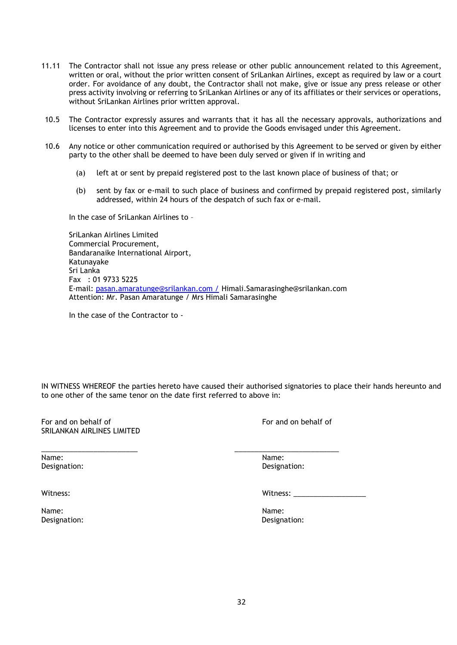- 11.11 The Contractor shall not issue any press release or other public announcement related to this Agreement, written or oral, without the prior written consent of SriLankan Airlines, except as required by law or a court order. For avoidance of any doubt, the Contractor shall not make, give or issue any press release or other press activity involving or referring to SriLankan Airlines or any of its affiliates or their services or operations, without SriLankan Airlines prior written approval.
- 10.5 The Contractor expressly assures and warrants that it has all the necessary approvals, authorizations and licenses to enter into this Agreement and to provide the Goods envisaged under this Agreement.
- 10.6 Any notice or other communication required or authorised by this Agreement to be served or given by either party to the other shall be deemed to have been duly served or given if in writing and
	- (a) left at or sent by prepaid registered post to the last known place of business of that; or
	- (b) sent by fax or e-mail to such place of business and confirmed by prepaid registered post, similarly addressed, within 24 hours of the despatch of such fax or e-mail.

In the case of SriLankan Airlines to –

 SriLankan Airlines Limited Commercial Procurement, Bandaranaike International Airport, Katunayake Sri Lanka Fax : 01 9733 5225 E-mail: [pasan.amaratunge@srilankan.com /](mailto:pasan.amaratunge@srilankan.com%20/) Himali.Samarasinghe@srilankan.com Attention: Mr. Pasan Amaratunge / Mrs Himali Samarasinghe

\_\_\_\_\_\_\_\_\_\_\_\_\_\_\_\_\_\_\_\_\_\_\_\_ \_\_\_\_\_\_\_\_\_\_\_\_\_\_\_\_\_\_\_\_\_\_\_\_\_\_

In the case of the Contractor to -

IN WITNESS WHEREOF the parties hereto have caused their authorised signatories to place their hands hereunto and to one other of the same tenor on the date first referred to above in:

For and on behalf of **For and on behalf of** For and on behalf of SRILANKAN AIRLINES LIMITED

Name: Name: Designation: Designation:

Name: Name: Designation: Designation:

Witness: Witness: \_\_\_\_\_\_\_\_\_\_\_\_\_\_\_\_\_\_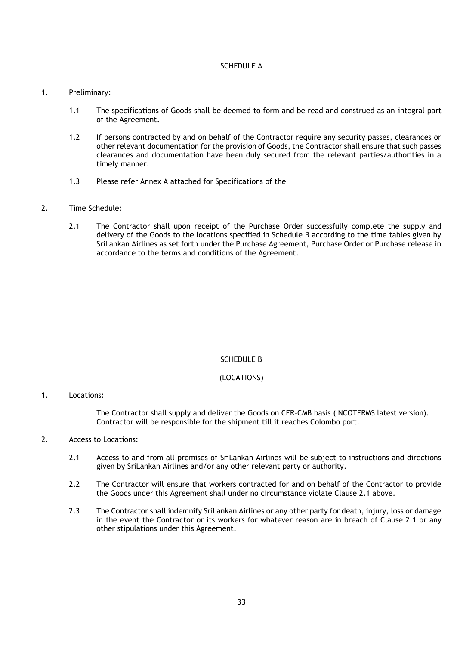## SCHEDULE A

#### 1. Preliminary:

- 1.1 The specifications of Goods shall be deemed to form and be read and construed as an integral part of the Agreement.
- 1.2 If persons contracted by and on behalf of the Contractor require any security passes, clearances or other relevant documentation for the provision of Goods, the Contractor shall ensure that such passes clearances and documentation have been duly secured from the relevant parties/authorities in a timely manner.
- 1.3 Please refer Annex A attached for Specifications of the

## 2. Time Schedule:

2.1 The Contractor shall upon receipt of the Purchase Order successfully complete the supply and delivery of the Goods to the locations specified in Schedule B according to the time tables given by SriLankan Airlines as set forth under the Purchase Agreement, Purchase Order or Purchase release in accordance to the terms and conditions of the Agreement.

## SCHEDULE B

## (LOCATIONS)

#### 1. Locations:

The Contractor shall supply and deliver the Goods on CFR-CMB basis (INCOTERMS latest version). Contractor will be responsible for the shipment till it reaches Colombo port.

## 2. Access to Locations:

- 2.1 Access to and from all premises of SriLankan Airlines will be subject to instructions and directions given by SriLankan Airlines and/or any other relevant party or authority.
- 2.2 The Contractor will ensure that workers contracted for and on behalf of the Contractor to provide the Goods under this Agreement shall under no circumstance violate Clause 2.1 above.
- 2.3 The Contractor shall indemnify SriLankan Airlines or any other party for death, injury, loss or damage in the event the Contractor or its workers for whatever reason are in breach of Clause 2.1 or any other stipulations under this Agreement.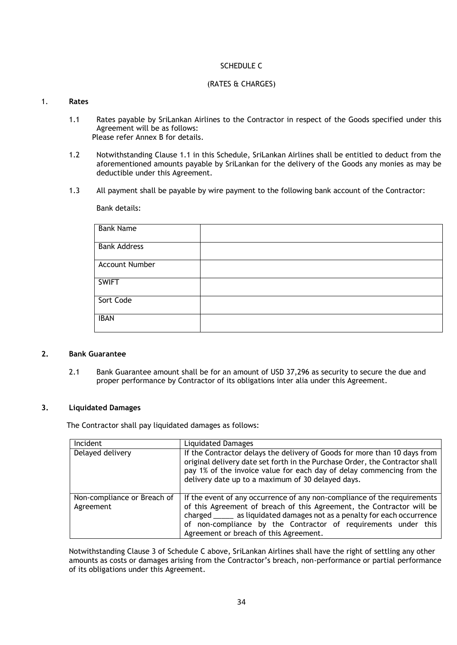## SCHEDULE C

#### (RATES & CHARGES)

## 1. **Rates**

- 1.1 Rates payable by SriLankan Airlines to the Contractor in respect of the Goods specified under this Agreement will be as follows: Please refer Annex B for details.
- 1.2 Notwithstanding Clause 1.1 in this Schedule, SriLankan Airlines shall be entitled to deduct from the aforementioned amounts payable by SriLankan for the delivery of the Goods any monies as may be deductible under this Agreement.
- 1.3 All payment shall be payable by wire payment to the following bank account of the Contractor:

Bank details:

| <b>Bank Name</b>      |  |
|-----------------------|--|
| <b>Bank Address</b>   |  |
| <b>Account Number</b> |  |
| <b>SWIFT</b>          |  |
| Sort Code             |  |
| <b>IBAN</b>           |  |

## **2. Bank Guarantee**

2.1 Bank Guarantee amount shall be for an amount of USD 37,296 as security to secure the due and proper performance by Contractor of its obligations inter alia under this Agreement.

## **3. Liquidated Damages**

The Contractor shall pay liquidated damages as follows:

| Incident                    | <b>Liquidated Damages</b>                                                                                                                                                                                                                                                               |
|-----------------------------|-----------------------------------------------------------------------------------------------------------------------------------------------------------------------------------------------------------------------------------------------------------------------------------------|
| Delayed delivery            | If the Contractor delays the delivery of Goods for more than 10 days from<br>original delivery date set forth in the Purchase Order, the Contractor shall<br>pay 1% of the invoice value for each day of delay commencing from the<br>delivery date up to a maximum of 30 delayed days. |
| Non-compliance or Breach of | If the event of any occurrence of any non-compliance of the requirements                                                                                                                                                                                                                |
| Agreement                   | of this Agreement of breach of this Agreement, the Contractor will be<br>charged ______ as liquidated damages not as a penalty for each occurrence<br>of non-compliance by the Contractor of requirements under this<br>Agreement or breach of this Agreement.                          |

Notwithstanding Clause 3 of Schedule C above, SriLankan Airlines shall have the right of settling any other amounts as costs or damages arising from the Contractor's breach, non-performance or partial performance of its obligations under this Agreement.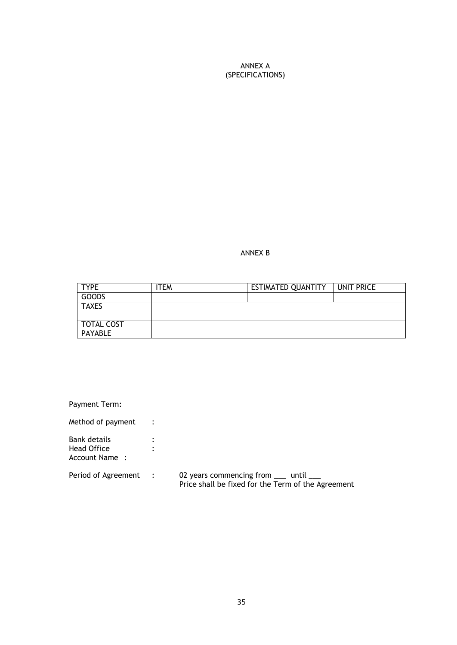ANNEX A (SPECIFICATIONS)

ANNEX B

| <b>TYPE</b>  | ITEM | ESTIMATED QUANTITY | UNIT PRICE |
|--------------|------|--------------------|------------|
| <b>GOODS</b> |      |                    |            |
| <b>TAXES</b> |      |                    |            |
|              |      |                    |            |
| TOTAL COST   |      |                    |            |
| PAYABLE      |      |                    |            |

Payment Term:

Method of payment : Bank details : Head Office  $\qquad \qquad :$ Account Name : Period of Agreement : Period of Agreement : 02 years commencing from \_\_\_ until \_\_\_ Price shall be fixed for the Term of the Agreement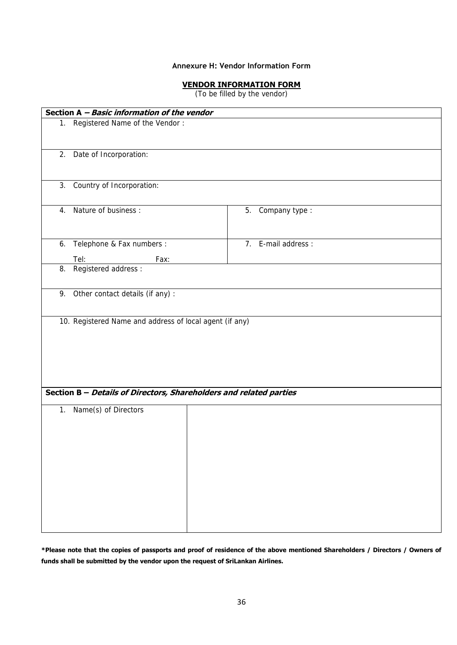## **Annexure H: Vendor Information Form**

## **VENDOR INFORMATION FORM**

(To be filled by the vendor)

|    | Section A - Basic information of the vendor                        |                     |  |
|----|--------------------------------------------------------------------|---------------------|--|
|    | 1. Registered Name of the Vendor:                                  |                     |  |
|    | 2. Date of Incorporation:                                          |                     |  |
| 3. | Country of Incorporation:                                          |                     |  |
| 4. | Nature of business:                                                | 5. Company type :   |  |
|    | 6. Telephone & Fax numbers :                                       | 7. E-mail address : |  |
|    | Tel:<br>Fax:                                                       |                     |  |
|    | 8. Registered address :                                            |                     |  |
|    | 9. Other contact details (if any) :                                |                     |  |
|    |                                                                    |                     |  |
|    | Section B - Details of Directors, Shareholders and related parties |                     |  |
|    | 1. Name(s) of Directors                                            |                     |  |

**\*Please note that the copies of passports and proof of residence of the above mentioned Shareholders / Directors / Owners of funds shall be submitted by the vendor upon the request of SriLankan Airlines.**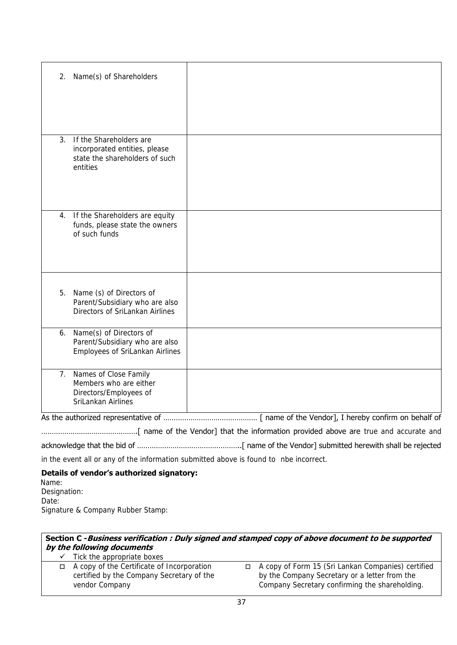|    | 2. Name(s) of Shareholders                                                                             |  |
|----|--------------------------------------------------------------------------------------------------------|--|
|    |                                                                                                        |  |
|    |                                                                                                        |  |
| 3. | If the Shareholders are<br>incorporated entities, please<br>state the shareholders of such<br>entities |  |
|    | 4. If the Shareholders are equity<br>funds, please state the owners<br>of such funds                   |  |
|    | 5. Name (s) of Directors of<br>Parent/Subsidiary who are also<br>Directors of SriLankan Airlines       |  |
|    | 6. Name(s) of Directors of<br>Parent/Subsidiary who are also<br>Employees of SriLankan Airlines        |  |
| 7. | Names of Close Family<br>Members who are either<br>Directors/Employees of<br>SriLankan Airlines        |  |
|    |                                                                                                        |  |

……………………………………….[ name of the Vendor] that the information provided above are true and accurate and acknowledge that the bid of …………………………………………..[ name of the Vendor] submitted herewith shall be rejected

in the event all or any of the information submitted above is found to nbe incorrect.

## **Details of vendor's authorized signatory:**

Name: Designation: Date: Signature & Company Rubber Stamp:

| Section C - Business verification : Duly signed and stamped copy of above document to be supported<br>by the following documents |                                                                                                                  |  |                                                                                                                                                       |  |  |
|----------------------------------------------------------------------------------------------------------------------------------|------------------------------------------------------------------------------------------------------------------|--|-------------------------------------------------------------------------------------------------------------------------------------------------------|--|--|
|                                                                                                                                  | $\checkmark$ Tick the appropriate boxes                                                                          |  |                                                                                                                                                       |  |  |
|                                                                                                                                  | $\Box$ A copy of the Certificate of Incorporation<br>certified by the Company Secretary of the<br>vendor Company |  | A copy of Form 15 (Sri Lankan Companies) certified<br>by the Company Secretary or a letter from the<br>Company Secretary confirming the shareholding. |  |  |